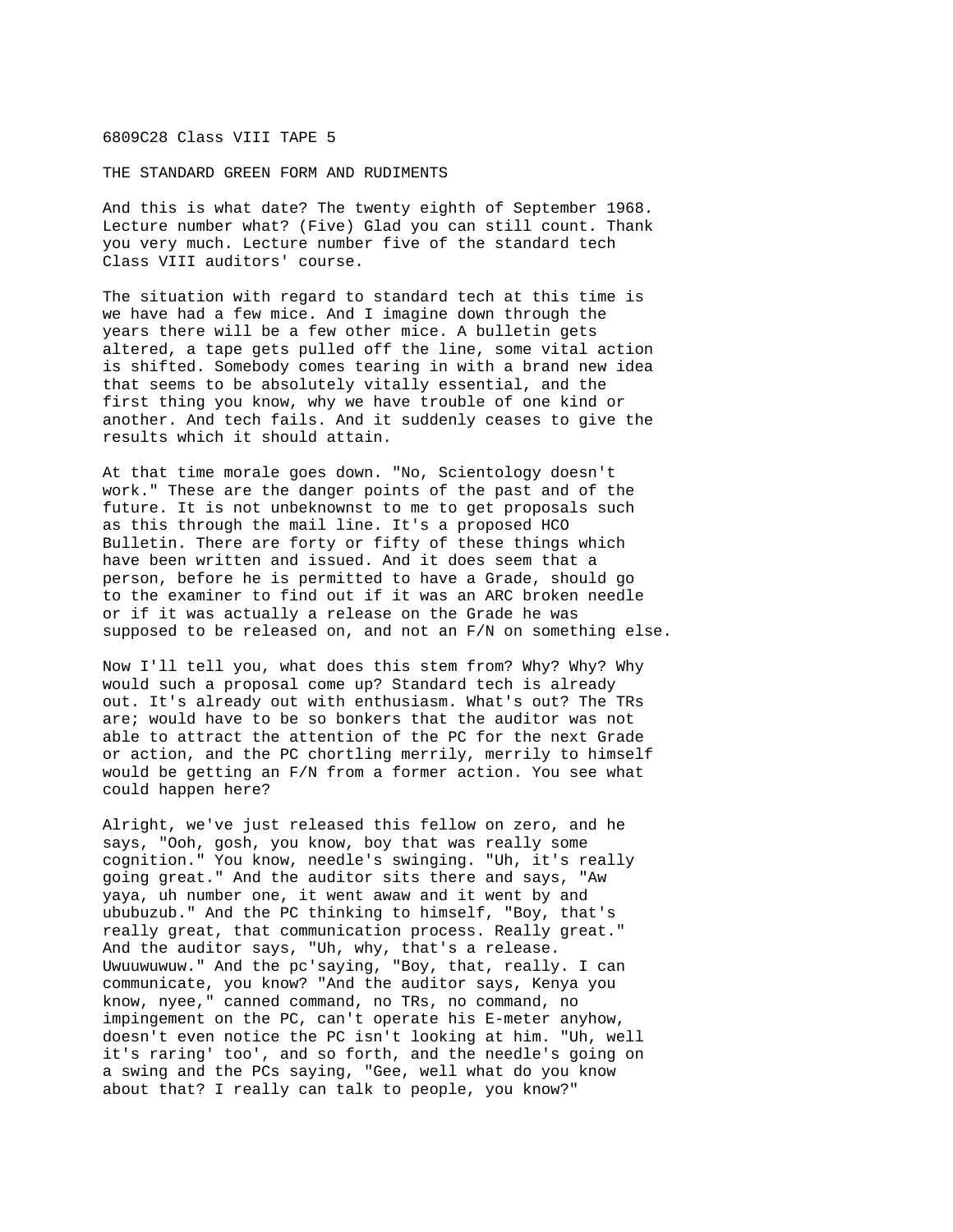## 6809C28 Class VIII TAPE 5

THE STANDARD GREEN FORM AND RUDIMENTS

And this is what date? The twenty eighth of September 1968. Lecture number what? (Five) Glad you can still count. Thank you very much. Lecture number five of the standard tech Class VIII auditors' course.

The situation with regard to standard tech at this time is we have had a few mice. And I imagine down through the years there will be a few other mice. A bulletin gets altered, a tape gets pulled off the line, some vital action is shifted. Somebody comes tearing in with a brand new idea that seems to be absolutely vitally essential, and the first thing you know, why we have trouble of one kind or another. And tech fails. And it suddenly ceases to give the results which it should attain.

At that time morale goes down. "No, Scientology doesn't work." These are the danger points of the past and of the future. It is not unbeknownst to me to get proposals such as this through the mail line. It's a proposed HCO Bulletin. There are forty or fifty of these things which have been written and issued. And it does seem that a person, before he is permitted to have a Grade, should go to the examiner to find out if it was an ARC broken needle or if it was actually a release on the Grade he was supposed to be released on, and not an F/N on something else.

Now I'll tell you, what does this stem from? Why? Why? Why would such a proposal come up? Standard tech is already out. It's already out with enthusiasm. What's out? The TRs are; would have to be so bonkers that the auditor was not able to attract the attention of the PC for the next Grade or action, and the PC chortling merrily, merrily to himself would be getting an F/N from a former action. You see what could happen here?

Alright, we've just released this fellow on zero, and he says, "Ooh, gosh, you know, boy that was really some cognition." You know, needle's swinging. "Uh, it's really going great." And the auditor sits there and says, "Aw yaya, uh number one, it went awaw and it went by and ububuzub." And the PC thinking to himself, "Boy, that's really great, that communication process. Really great." And the auditor says, "Uh, why, that's a release. Uwuuwuwuw." And the pc'saying, "Boy, that, really. I can communicate, you know? "And the auditor says, Kenya you know, nyee," canned command, no TRs, no command, no impingement on the PC, can't operate his E-meter anyhow, doesn't even notice the PC isn't looking at him. "Uh, well it's raring' too', and so forth, and the needle's going on a swing and the PCs saying, "Gee, well what do you know about that? I really can talk to people, you know?"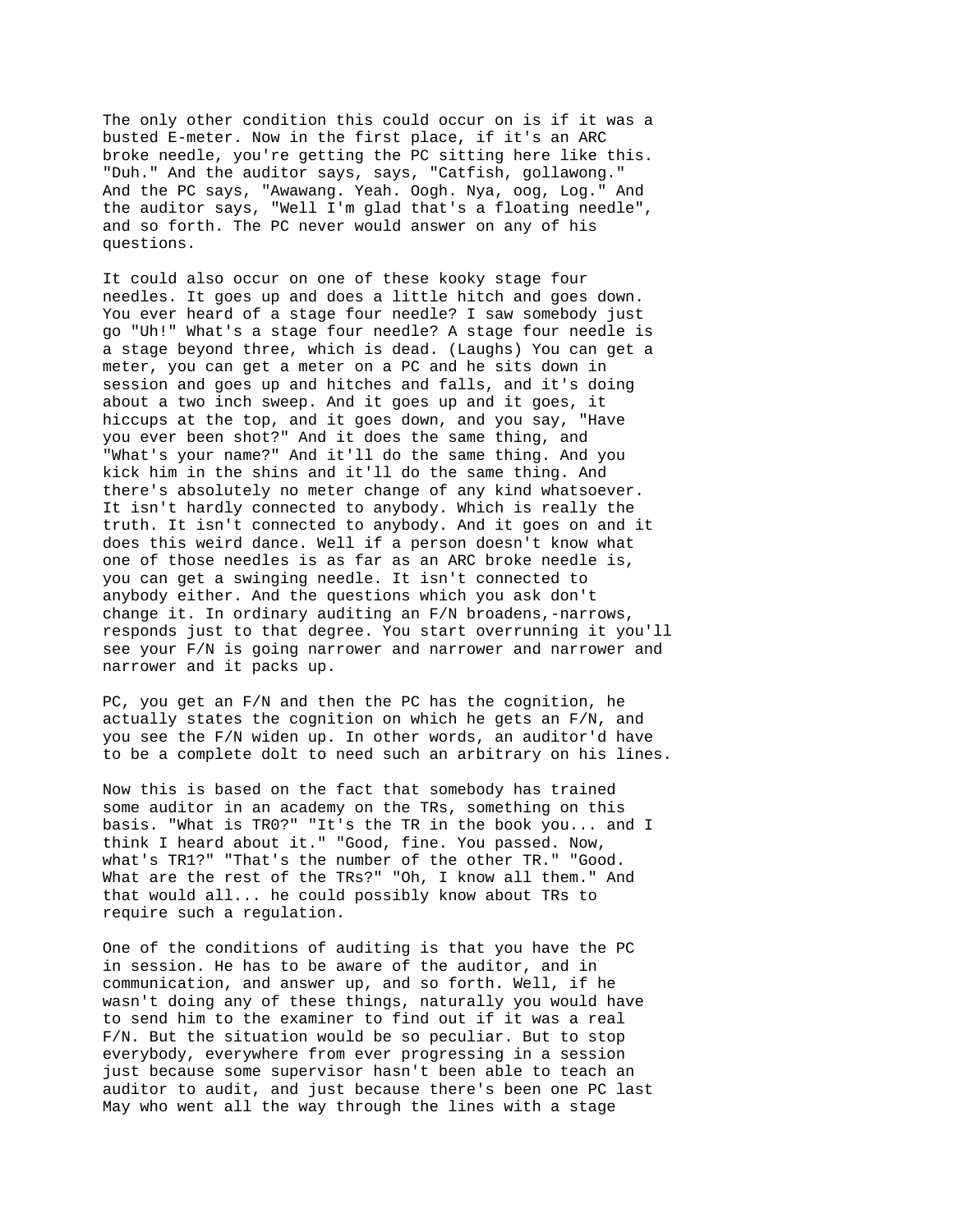The only other condition this could occur on is if it was a busted E-meter. Now in the first place, if it's an ARC broke needle, you're getting the PC sitting here like this. "Duh." And the auditor says, says, "Catfish, gollawong." And the PC says, "Awawang. Yeah. Oogh. Nya, oog, Log." And the auditor says, "Well I'm glad that's a floating needle", and so forth. The PC never would answer on any of his questions.

It could also occur on one of these kooky stage four needles. It goes up and does a little hitch and goes down. You ever heard of a stage four needle? I saw somebody just go "Uh!" What's a stage four needle? A stage four needle is a stage beyond three, which is dead. (Laughs) You can get a meter, you can get a meter on a PC and he sits down in session and goes up and hitches and falls, and it's doing about a two inch sweep. And it goes up and it goes, it hiccups at the top, and it goes down, and you say, "Have you ever been shot?" And it does the same thing, and "What's your name?" And it'll do the same thing. And you kick him in the shins and it'll do the same thing. And there's absolutely no meter change of any kind whatsoever. It isn't hardly connected to anybody. Which is really the truth. It isn't connected to anybody. And it goes on and it does this weird dance. Well if a person doesn't know what one of those needles is as far as an ARC broke needle is, you can get a swinging needle. It isn't connected to anybody either. And the questions which you ask don't change it. In ordinary auditing an F/N broadens,-narrows, responds just to that degree. You start overrunning it you'll see your F/N is going narrower and narrower and narrower and narrower and it packs up.

PC, you get an F/N and then the PC has the cognition, he actually states the cognition on which he gets an F/N, and you see the F/N widen up. In other words, an auditor'd have to be a complete dolt to need such an arbitrary on his lines.

Now this is based on the fact that somebody has trained some auditor in an academy on the TRs, something on this basis. "What is TR0?" "It's the TR in the book you... and I think I heard about it." "Good, fine. You passed. Now, what's TR1?" "That's the number of the other TR." "Good. What are the rest of the TRs?" "Oh, I know all them." And that would all... he could possibly know about TRs to require such a regulation.

One of the conditions of auditing is that you have the PC in session. He has to be aware of the auditor, and in communication, and answer up, and so forth. Well, if he wasn't doing any of these things, naturally you would have to send him to the examiner to find out if it was a real F/N. But the situation would be so peculiar. But to stop everybody, everywhere from ever progressing in a session just because some supervisor hasn't been able to teach an auditor to audit, and just because there's been one PC last May who went all the way through the lines with a stage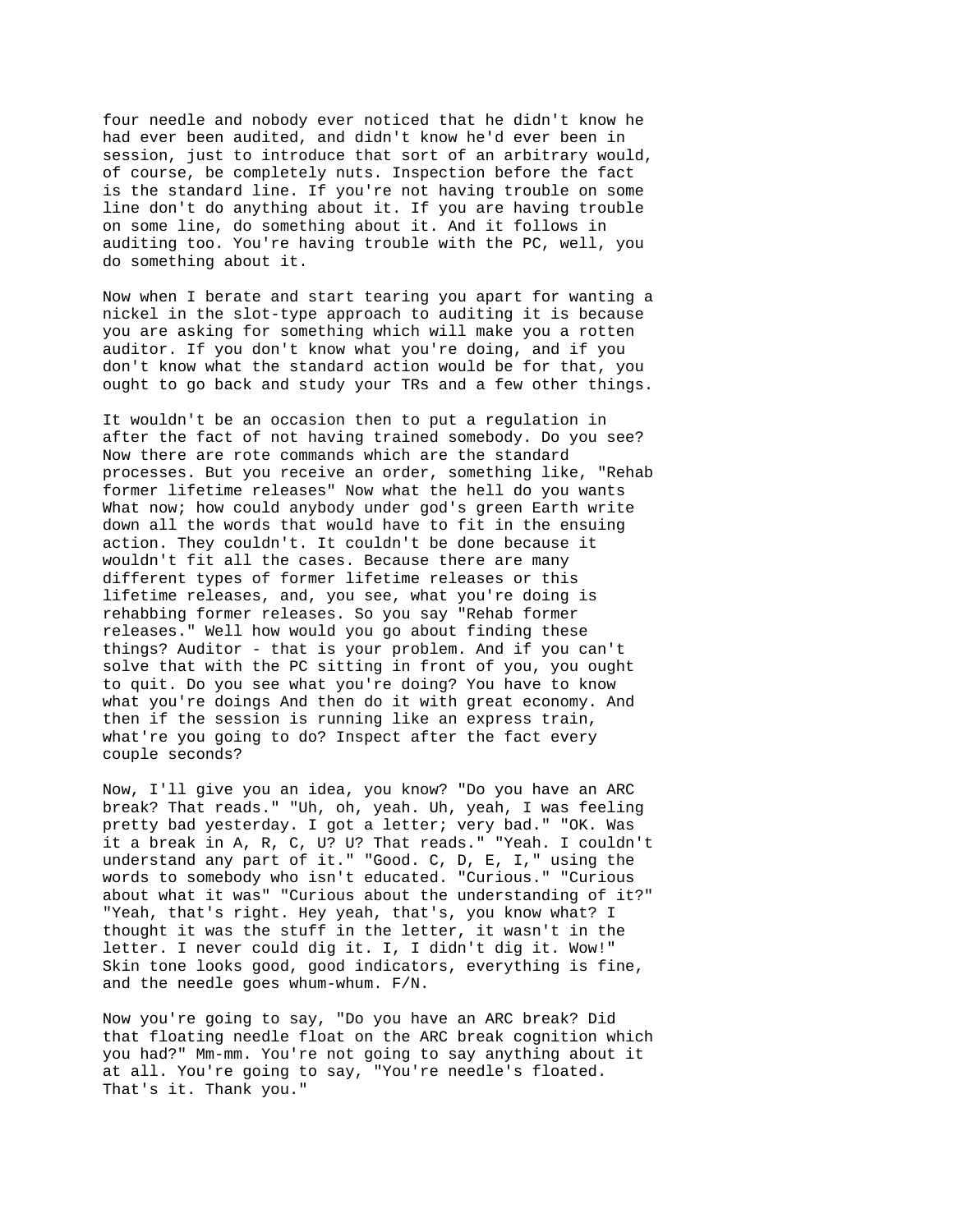four needle and nobody ever noticed that he didn't know he had ever been audited, and didn't know he'd ever been in session, just to introduce that sort of an arbitrary would, of course, be completely nuts. Inspection before the fact is the standard line. If you're not having trouble on some line don't do anything about it. If you are having trouble on some line, do something about it. And it follows in auditing too. You're having trouble with the PC, well, you do something about it.

Now when I berate and start tearing you apart for wanting a nickel in the slot-type approach to auditing it is because you are asking for something which will make you a rotten auditor. If you don't know what you're doing, and if you don't know what the standard action would be for that, you ought to go back and study your TRs and a few other things.

It wouldn't be an occasion then to put a regulation in after the fact of not having trained somebody. Do you see? Now there are rote commands which are the standard processes. But you receive an order, something like, "Rehab former lifetime releases" Now what the hell do you wants What now; how could anybody under god's green Earth write down all the words that would have to fit in the ensuing action. They couldn't. It couldn't be done because it wouldn't fit all the cases. Because there are many different types of former lifetime releases or this lifetime releases, and, you see, what you're doing is rehabbing former releases. So you say "Rehab former releases." Well how would you go about finding these things? Auditor - that is your problem. And if you can't solve that with the PC sitting in front of you, you ought to quit. Do you see what you're doing? You have to know what you're doings And then do it with great economy. And then if the session is running like an express train, what're you going to do? Inspect after the fact every couple seconds?

Now, I'll give you an idea, you know? "Do you have an ARC break? That reads." "Uh, oh, yeah. Uh, yeah, I was feeling pretty bad yesterday. I got a letter; very bad." "OK. Was it a break in A, R, C, U? U? That reads." "Yeah. I couldn't understand any part of it." "Good. C, D, E, I," using the words to somebody who isn't educated. "Curious." "Curious about what it was" "Curious about the understanding of it?" "Yeah, that's right. Hey yeah, that's, you know what? I thought it was the stuff in the letter, it wasn't in the letter. I never could dig it. I, I didn't dig it. Wow!" Skin tone looks good, good indicators, everything is fine, and the needle goes whum-whum. F/N.

Now you're going to say, "Do you have an ARC break? Did that floating needle float on the ARC break cognition which you had?" Mm-mm. You're not going to say anything about it at all. You're going to say, "You're needle's floated. That's it. Thank you."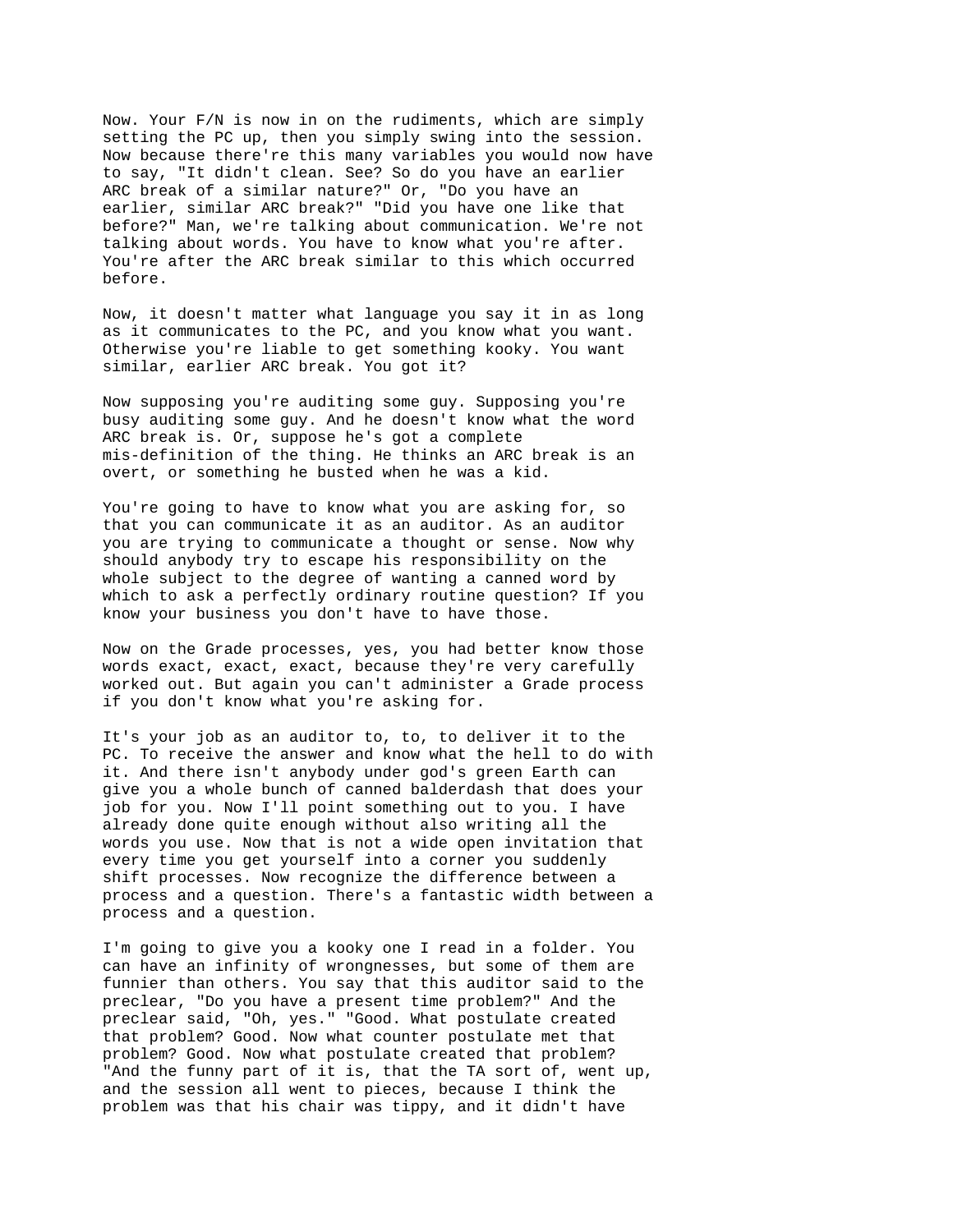Now. Your F/N is now in on the rudiments, which are simply setting the PC up, then you simply swing into the session. Now because there're this many variables you would now have to say, "It didn't clean. See? So do you have an earlier ARC break of a similar nature?" Or, "Do you have an earlier, similar ARC break?" "Did you have one like that before?" Man, we're talking about communication. We're not talking about words. You have to know what you're after. You're after the ARC break similar to this which occurred before.

Now, it doesn't matter what language you say it in as long as it communicates to the PC, and you know what you want. Otherwise you're liable to get something kooky. You want similar, earlier ARC break. You got it?

Now supposing you're auditing some guy. Supposing you're busy auditing some guy. And he doesn't know what the word ARC break is. Or, suppose he's got a complete mis-definition of the thing. He thinks an ARC break is an overt, or something he busted when he was a kid.

You're going to have to know what you are asking for, so that you can communicate it as an auditor. As an auditor you are trying to communicate a thought or sense. Now why should anybody try to escape his responsibility on the whole subject to the degree of wanting a canned word by which to ask a perfectly ordinary routine question? If you know your business you don't have to have those.

Now on the Grade processes, yes, you had better know those words exact, exact, exact, because they're very carefully worked out. But again you can't administer a Grade process if you don't know what you're asking for.

It's your job as an auditor to, to, to deliver it to the PC. To receive the answer and know what the hell to do with it. And there isn't anybody under god's green Earth can give you a whole bunch of canned balderdash that does your job for you. Now I'll point something out to you. I have already done quite enough without also writing all the words you use. Now that is not a wide open invitation that every time you get yourself into a corner you suddenly shift processes. Now recognize the difference between a process and a question. There's a fantastic width between a process and a question.

I'm going to give you a kooky one I read in a folder. You can have an infinity of wrongnesses, but some of them are funnier than others. You say that this auditor said to the preclear, "Do you have a present time problem?" And the preclear said, "Oh, yes." "Good. What postulate created that problem? Good. Now what counter postulate met that problem? Good. Now what postulate created that problem? "And the funny part of it is, that the TA sort of, went up, and the session all went to pieces, because I think the problem was that his chair was tippy, and it didn't have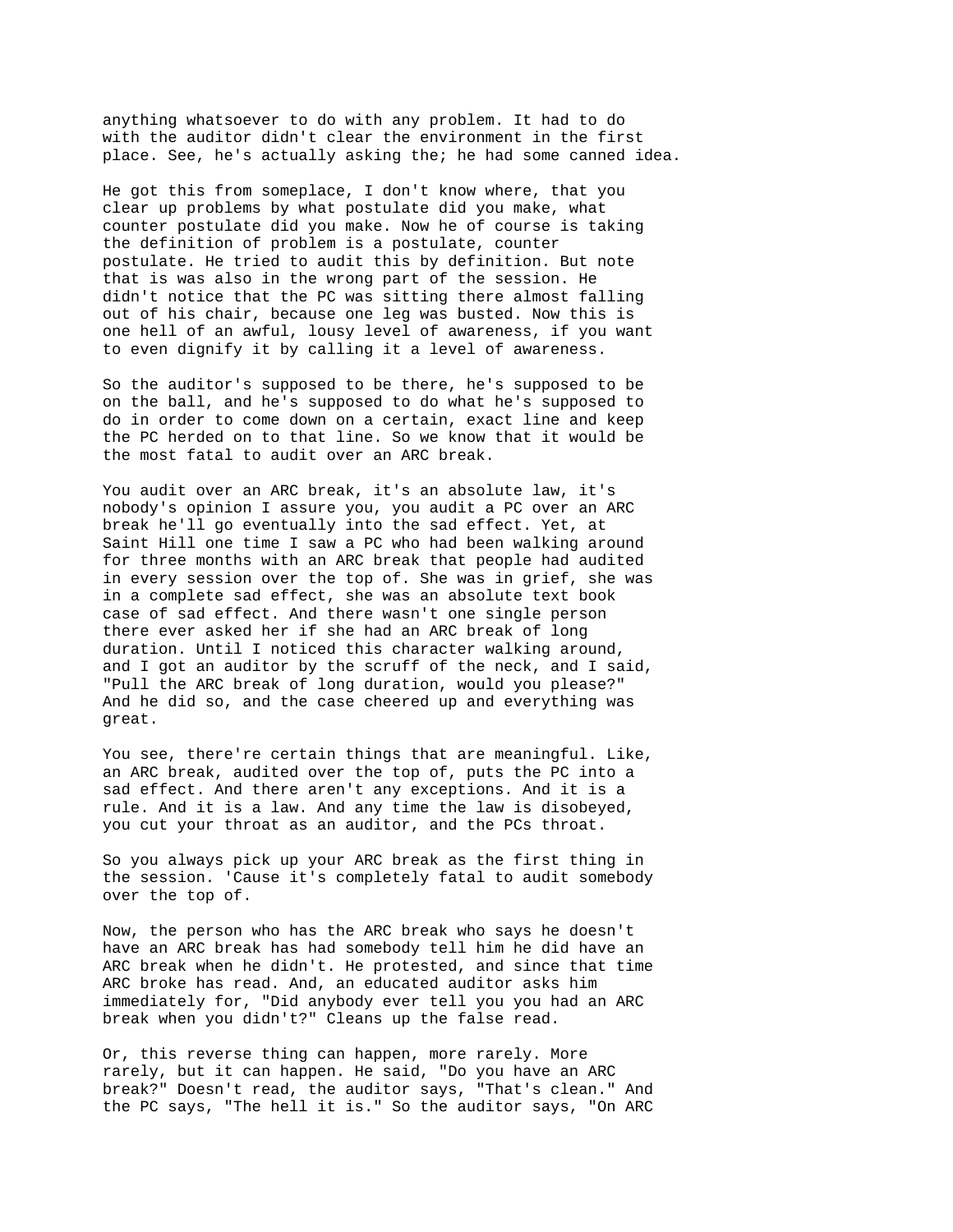anything whatsoever to do with any problem. It had to do with the auditor didn't clear the environment in the first place. See, he's actually asking the; he had some canned idea.

He got this from someplace, I don't know where, that you clear up problems by what postulate did you make, what counter postulate did you make. Now he of course is taking the definition of problem is a postulate, counter postulate. He tried to audit this by definition. But note that is was also in the wrong part of the session. He didn't notice that the PC was sitting there almost falling out of his chair, because one leg was busted. Now this is one hell of an awful, lousy level of awareness, if you want to even dignify it by calling it a level of awareness.

So the auditor's supposed to be there, he's supposed to be on the ball, and he's supposed to do what he's supposed to do in order to come down on a certain, exact line and keep the PC herded on to that line. So we know that it would be the most fatal to audit over an ARC break.

You audit over an ARC break, it's an absolute law, it's nobody's opinion I assure you, you audit a PC over an ARC break he'll go eventually into the sad effect. Yet, at Saint Hill one time I saw a PC who had been walking around for three months with an ARC break that people had audited in every session over the top of. She was in grief, she was in a complete sad effect, she was an absolute text book case of sad effect. And there wasn't one single person there ever asked her if she had an ARC break of long duration. Until I noticed this character walking around, and I got an auditor by the scruff of the neck, and I said, "Pull the ARC break of long duration, would you please?" And he did so, and the case cheered up and everything was great.

You see, there're certain things that are meaningful. Like, an ARC break, audited over the top of, puts the PC into a sad effect. And there aren't any exceptions. And it is a rule. And it is a law. And any time the law is disobeyed, you cut your throat as an auditor, and the PCs throat.

So you always pick up your ARC break as the first thing in the session. 'Cause it's completely fatal to audit somebody over the top of.

Now, the person who has the ARC break who says he doesn't have an ARC break has had somebody tell him he did have an ARC break when he didn't. He protested, and since that time ARC broke has read. And, an educated auditor asks him immediately for, "Did anybody ever tell you you had an ARC break when you didn't?" Cleans up the false read.

Or, this reverse thing can happen, more rarely. More rarely, but it can happen. He said, "Do you have an ARC break?" Doesn't read, the auditor says, "That's clean." And the PC says, "The hell it is." So the auditor says, "On ARC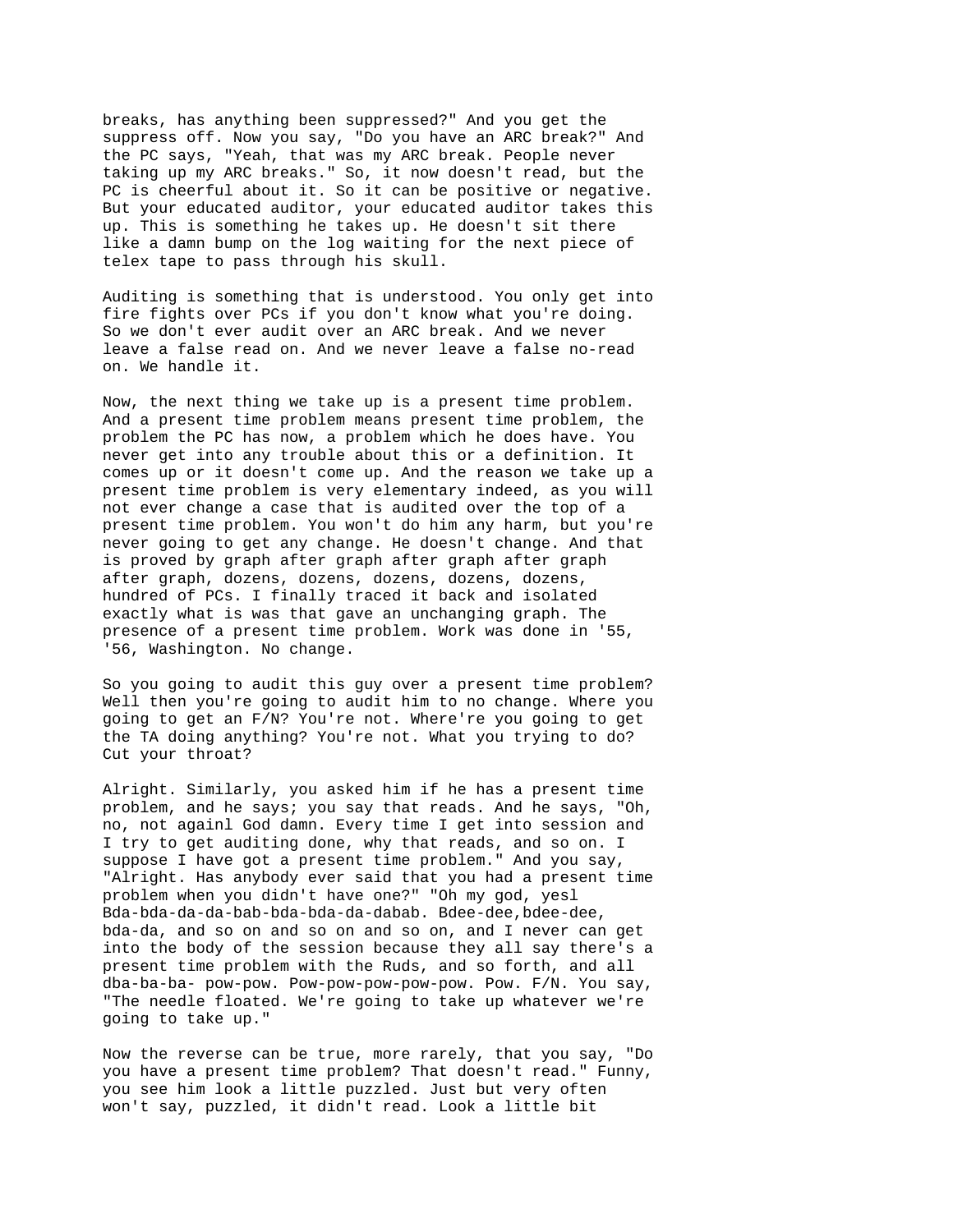breaks, has anything been suppressed?" And you get the suppress off. Now you say, "Do you have an ARC break?" And the PC says, "Yeah, that was my ARC break. People never taking up my ARC breaks." So, it now doesn't read, but the PC is cheerful about it. So it can be positive or negative. But your educated auditor, your educated auditor takes this up. This is something he takes up. He doesn't sit there like a damn bump on the log waiting for the next piece of telex tape to pass through his skull.

Auditing is something that is understood. You only get into fire fights over PCs if you don't know what you're doing. So we don't ever audit over an ARC break. And we never leave a false read on. And we never leave a false no-read on. We handle it.

Now, the next thing we take up is a present time problem. And a present time problem means present time problem, the problem the PC has now, a problem which he does have. You never get into any trouble about this or a definition. It comes up or it doesn't come up. And the reason we take up a present time problem is very elementary indeed, as you will not ever change a case that is audited over the top of a present time problem. You won't do him any harm, but you're never going to get any change. He doesn't change. And that is proved by graph after graph after graph after graph after graph, dozens, dozens, dozens, dozens, dozens, hundred of PCs. I finally traced it back and isolated exactly what is was that gave an unchanging graph. The presence of a present time problem. Work was done in '55, '56, Washington. No change.

So you going to audit this guy over a present time problem? Well then you're going to audit him to no change. Where you going to get an F/N? You're not. Where're you going to get the TA doing anything? You're not. What you trying to do? Cut your throat?

Alright. Similarly, you asked him if he has a present time problem, and he says; you say that reads. And he says, "Oh, no, not againl God damn. Every time I get into session and I try to get auditing done, why that reads, and so on. I suppose I have got a present time problem." And you say, "Alright. Has anybody ever said that you had a present time problem when you didn't have one?" "Oh my god, yesl Bda-bda-da-da-bab-bda-bda-da-dabab. Bdee-dee, bdee-dee, bda-da, and so on and so on and so on, and I never can get into the body of the session because they all say there's a present time problem with the Ruds, and so forth, and all dba-ba-ba- pow-pow. Pow-pow-pow-pow-pow. Pow. F/N. You say, "The needle floated. We're going to take up whatever we're going to take up."

Now the reverse can be true, more rarely, that you say, "Do you have a present time problem? That doesn't read." Funny, you see him look a little puzzled. Just but very often won't say, puzzled, it didn't read. Look a little bit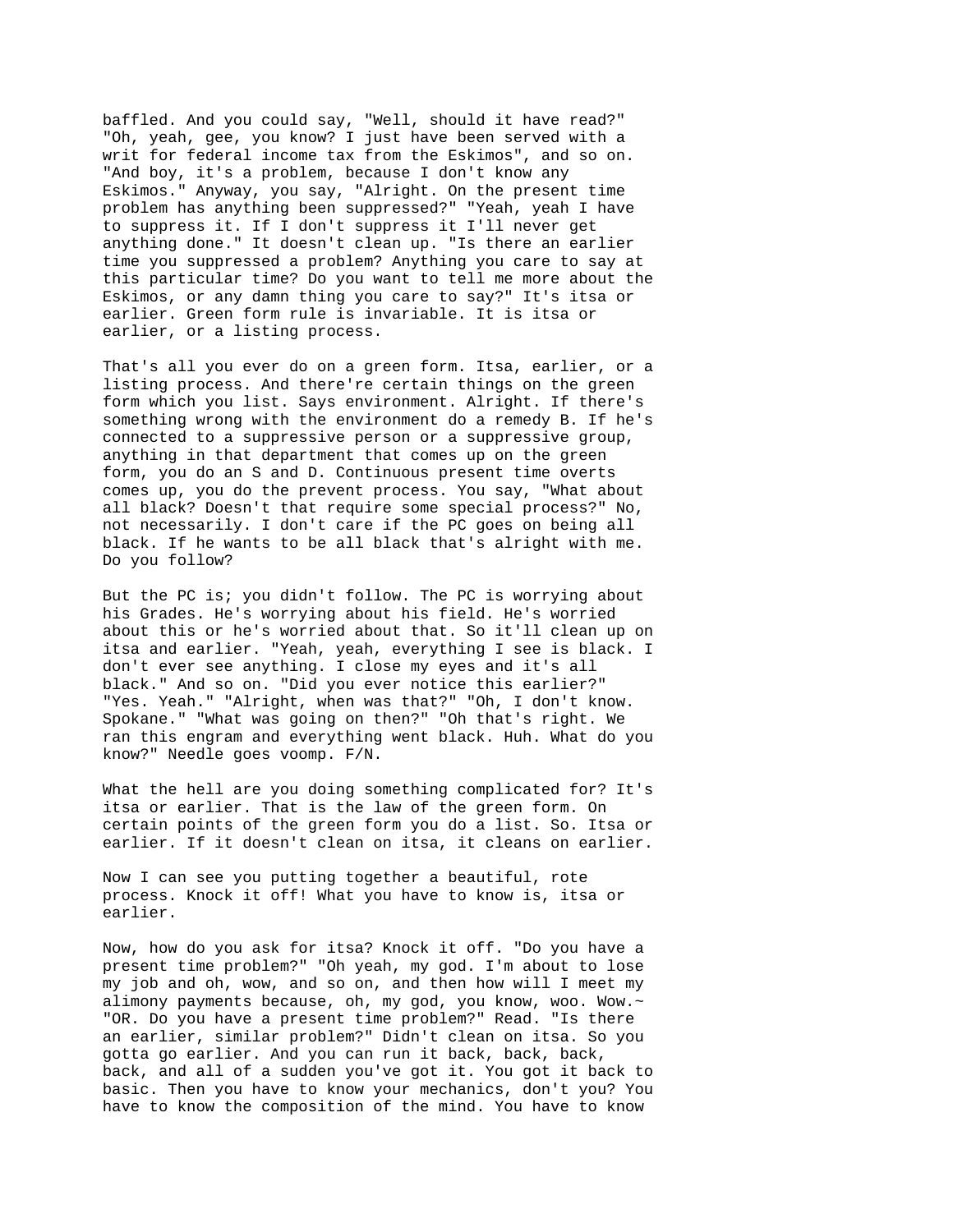baffled. And you could say, "Well, should it have read?" "Oh, yeah, gee, you know? I just have been served with a writ for federal income tax from the Eskimos", and so on. "And boy, it's a problem, because I don't know any Eskimos." Anyway, you say, "Alright. On the present time problem has anything been suppressed?" "Yeah, yeah I have to suppress it. If I don't suppress it I'll never get anything done." It doesn't clean up. "Is there an earlier time you suppressed a problem? Anything you care to say at this particular time? Do you want to tell me more about the Eskimos, or any damn thing you care to say?" It's itsa or earlier. Green form rule is invariable. It is itsa or earlier, or a listing process.

That's all you ever do on a green form. Itsa, earlier, or a listing process. And there're certain things on the green form which you list. Says environment. Alright. If there's something wrong with the environment do a remedy B. If he's connected to a suppressive person or a suppressive group, anything in that department that comes up on the green form, you do an S and D. Continuous present time overts comes up, you do the prevent process. You say, "What about all black? Doesn't that require some special process?" No, not necessarily. I don't care if the PC goes on being all black. If he wants to be all black that's alright with me. Do you follow?

But the PC is; you didn't follow. The PC is worrying about his Grades. He's worrying about his field. He's worried about this or he's worried about that. So it'll clean up on itsa and earlier. "Yeah, yeah, everything I see is black. I don't ever see anything. I close my eyes and it's all black." And so on. "Did you ever notice this earlier?" "Yes. Yeah." "Alright, when was that?" "Oh, I don't know. Spokane." "What was going on then?" "Oh that's right. We ran this engram and everything went black. Huh. What do you know?" Needle goes voomp. F/N.

What the hell are you doing something complicated for? It's itsa or earlier. That is the law of the green form. On certain points of the green form you do a list. So. Itsa or earlier. If it doesn't clean on itsa, it cleans on earlier.

Now I can see you putting together a beautiful, rote process. Knock it off! What you have to know is, itsa or earlier.

Now, how do you ask for itsa? Knock it off. "Do you have a present time problem?" "Oh yeah, my god. I'm about to lose my job and oh, wow, and so on, and then how will I meet my alimony payments because, oh, my god, you know, woo. Wow.~ "OR. Do you have a present time problem?" Read. "Is there an earlier, similar problem?" Didn't clean on itsa. So you gotta go earlier. And you can run it back, back, back, back, and all of a sudden you've got it. You got it back to basic. Then you have to know your mechanics, don't you? You have to know the composition of the mind. You have to know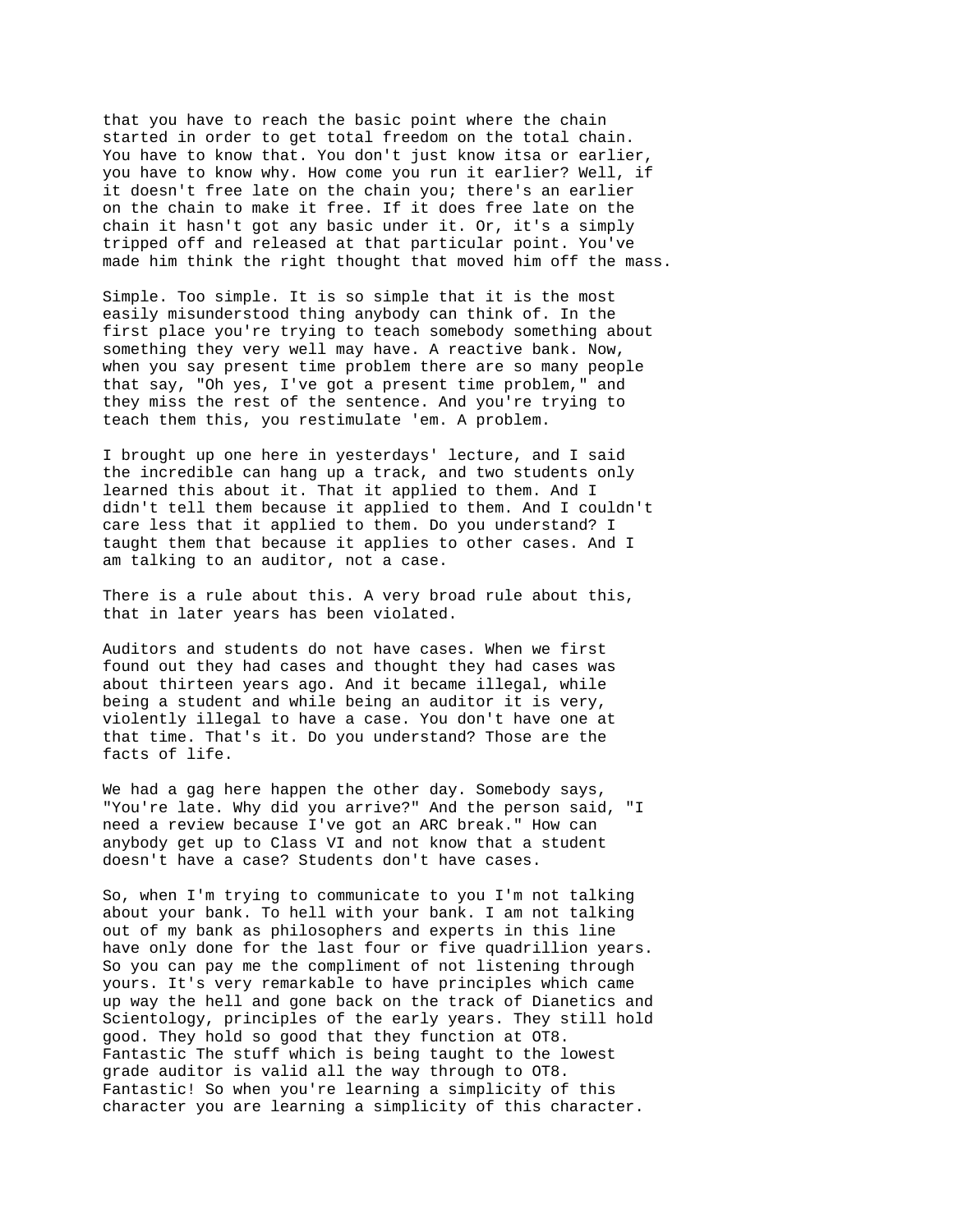that you have to reach the basic point where the chain started in order to get total freedom on the total chain. You have to know that. You don't just know itsa or earlier, you have to know why. How come you run it earlier? Well, if it doesn't free late on the chain you; there's an earlier on the chain to make it free. If it does free late on the chain it hasn't got any basic under it. Or, it's a simply tripped off and released at that particular point. You've made him think the right thought that moved him off the mass.

Simple. Too simple. It is so simple that it is the most easily misunderstood thing anybody can think of. In the first place you're trying to teach somebody something about something they very well may have. A reactive bank. Now, when you say present time problem there are so many people that say, "Oh yes, I've got a present time problem," and they miss the rest of the sentence. And you're trying to teach them this, you restimulate 'em. A problem.

I brought up one here in yesterdays' lecture, and I said the incredible can hang up a track, and two students only learned this about it. That it applied to them. And I didn't tell them because it applied to them. And I couldn't care less that it applied to them. Do you understand? I taught them that because it applies to other cases. And I am talking to an auditor, not a case.

There is a rule about this. A very broad rule about this, that in later years has been violated.

Auditors and students do not have cases. When we first found out they had cases and thought they had cases was about thirteen years ago. And it became illegal, while being a student and while being an auditor it is very, violently illegal to have a case. You don't have one at that time. That's it. Do you understand? Those are the facts of life.

We had a gag here happen the other day. Somebody says, "You're late. Why did you arrive?" And the person said, "I need a review because I've got an ARC break." How can anybody get up to Class VI and not know that a student doesn't have a case? Students don't have cases.

So, when I'm trying to communicate to you I'm not talking about your bank. To hell with your bank. I am not talking out of my bank as philosophers and experts in this line have only done for the last four or five quadrillion years. So you can pay me the compliment of not listening through yours. It's very remarkable to have principles which came up way the hell and gone back on the track of Dianetics and Scientology, principles of the early years. They still hold good. They hold so good that they function at OT8. Fantastic The stuff which is being taught to the lowest grade auditor is valid all the way through to OT8. Fantastic! So when you're learning a simplicity of this character you are learning a simplicity of this character.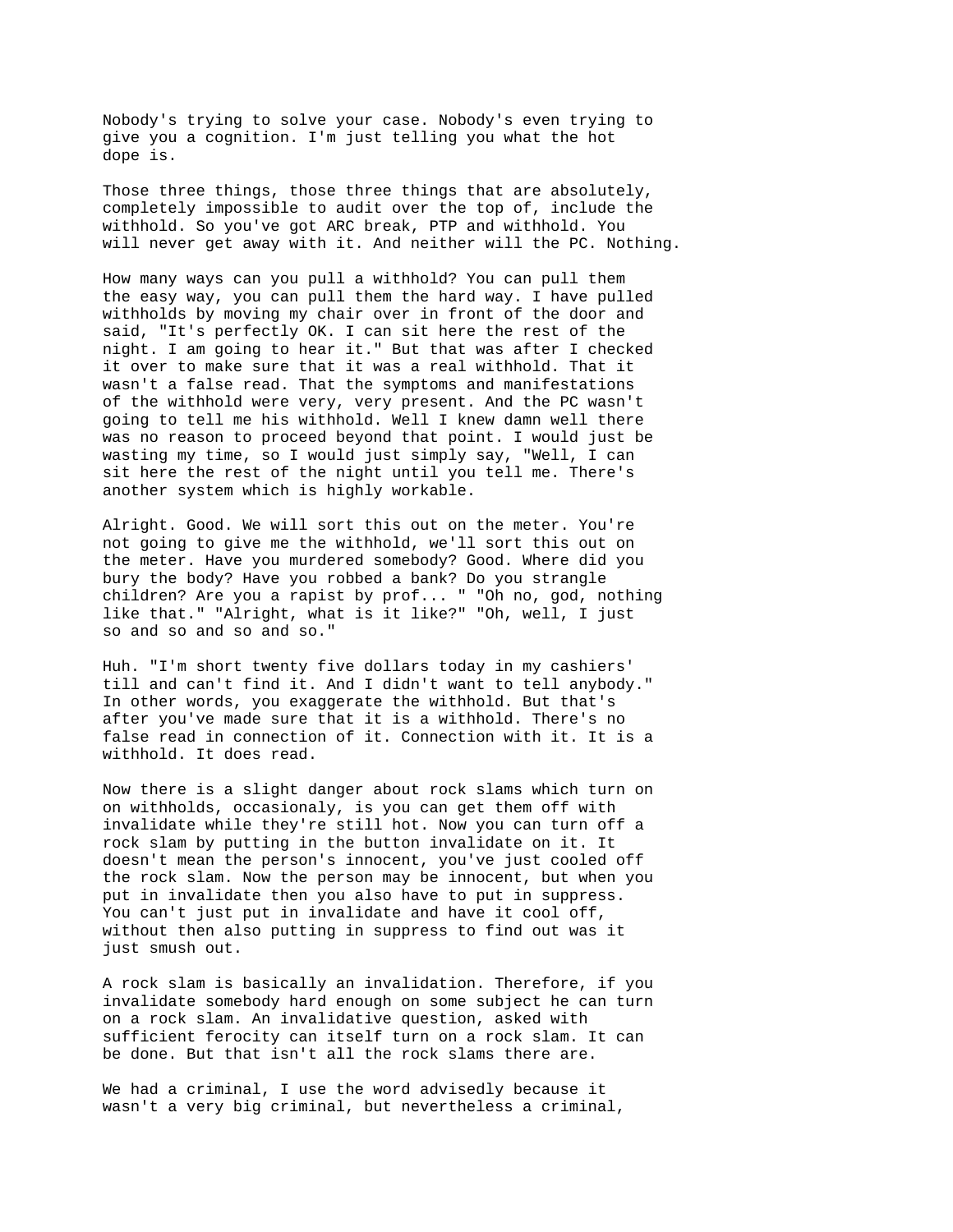Nobody's trying to solve your case. Nobody's even trying to give you a cognition. I'm just telling you what the hot dope is.

Those three things, those three things that are absolutely, completely impossible to audit over the top of, include the withhold. So you've got ARC break, PTP and withhold. You will never get away with it. And neither will the PC. Nothing.

How many ways can you pull a withhold? You can pull them the easy way, you can pull them the hard way. I have pulled withholds by moving my chair over in front of the door and said, "It's perfectly OK. I can sit here the rest of the night. I am going to hear it." But that was after I checked it over to make sure that it was a real withhold. That it wasn't a false read. That the symptoms and manifestations of the withhold were very, very present. And the PC wasn't going to tell me his withhold. Well I knew damn well there was no reason to proceed beyond that point. I would just be wasting my time, so I would just simply say, "Well, I can sit here the rest of the night until you tell me. There's another system which is highly workable.

Alright. Good. We will sort this out on the meter. You're not going to give me the withhold, we'll sort this out on the meter. Have you murdered somebody? Good. Where did you bury the body? Have you robbed a bank? Do you strangle children? Are you a rapist by prof... " "Oh no, god, nothing like that." "Alright, what is it like?" "Oh, well, I just so and so and so and so."

Huh. "I'm short twenty five dollars today in my cashiers' till and can't find it. And I didn't want to tell anybody." In other words, you exaggerate the withhold. But that's after you've made sure that it is a withhold. There's no false read in connection of it. Connection with it. It is a withhold. It does read.

Now there is a slight danger about rock slams which turn on on withholds, occasionaly, is you can get them off with invalidate while they're still hot. Now you can turn off a rock slam by putting in the button invalidate on it. It doesn't mean the person's innocent, you've just cooled off the rock slam. Now the person may be innocent, but when you put in invalidate then you also have to put in suppress. You can't just put in invalidate and have it cool off, without then also putting in suppress to find out was it just smush out.

A rock slam is basically an invalidation. Therefore, if you invalidate somebody hard enough on some subject he can turn on a rock slam. An invalidative question, asked with sufficient ferocity can itself turn on a rock slam. It can be done. But that isn't all the rock slams there are.

We had a criminal, I use the word advisedly because it wasn't a very big criminal, but nevertheless a criminal,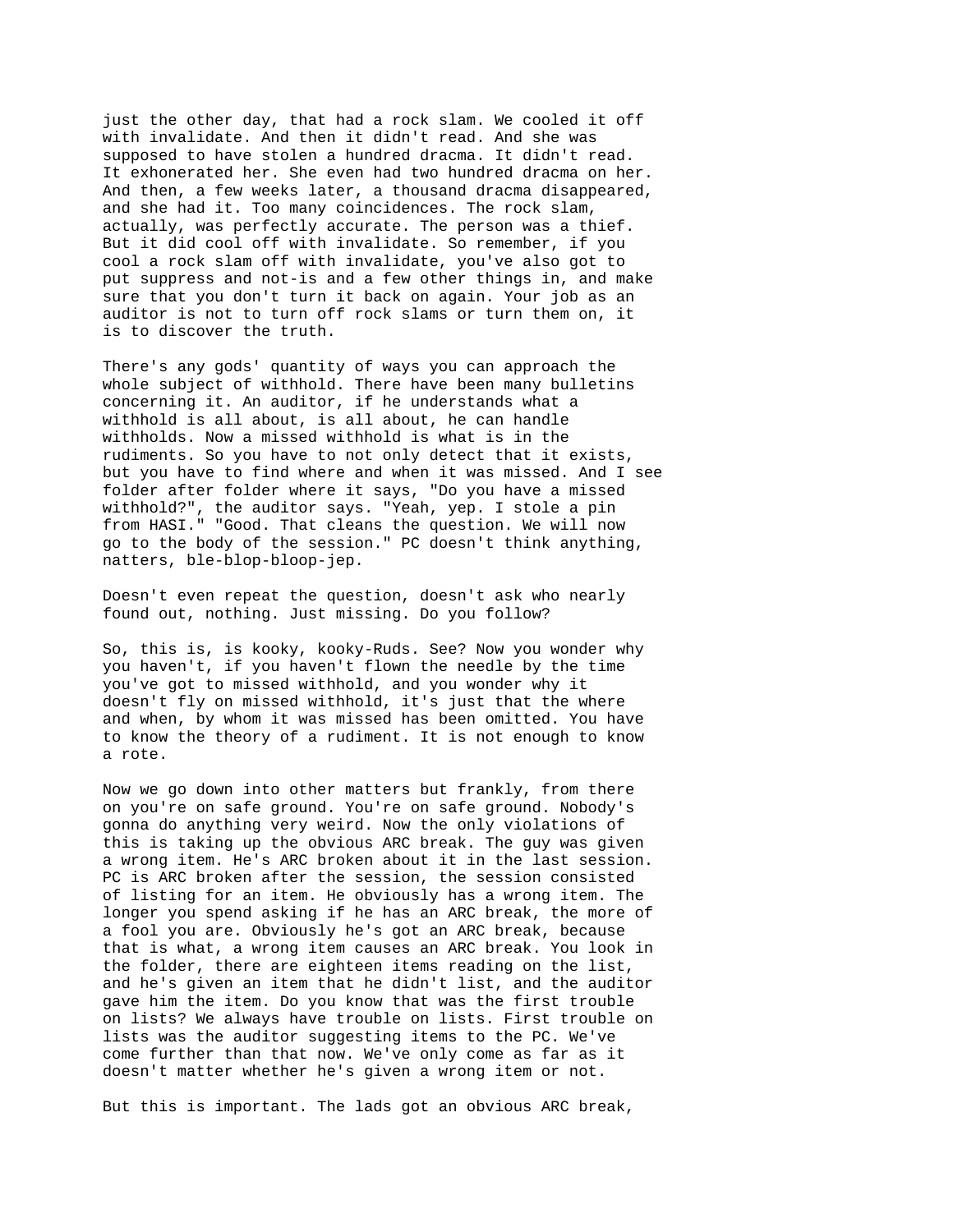just the other day, that had a rock slam. We cooled it off with invalidate. And then it didn't read. And she was supposed to have stolen a hundred dracma. It didn't read. It exhonerated her. She even had two hundred dracma on her. And then, a few weeks later, a thousand dracma disappeared, and she had it. Too many coincidences. The rock slam, actually, was perfectly accurate. The person was a thief. But it did cool off with invalidate. So remember, if you cool a rock slam off with invalidate, you've also got to put suppress and not-is and a few other things in, and make sure that you don't turn it back on again. Your job as an auditor is not to turn off rock slams or turn them on, it is to discover the truth.

There's any gods' quantity of ways you can approach the whole subject of withhold. There have been many bulletins concerning it. An auditor, if he understands what a withhold is all about, is all about, he can handle withholds. Now a missed withhold is what is in the rudiments. So you have to not only detect that it exists, but you have to find where and when it was missed. And I see folder after folder where it says, "Do you have a missed withhold?", the auditor says. "Yeah, yep. I stole a pin from HASI." "Good. That cleans the question. We will now go to the body of the session." PC doesn't think anything, natters, ble-blop-bloop-jep.

Doesn't even repeat the question, doesn't ask who nearly found out, nothing. Just missing. Do you follow?

So, this is, is kooky, kooky-Ruds. See? Now you wonder why you haven't, if you haven't flown the needle by the time you've got to missed withhold, and you wonder why it doesn't fly on missed withhold, it's just that the where and when, by whom it was missed has been omitted. You have to know the theory of a rudiment. It is not enough to know a rote.

Now we go down into other matters but frankly, from there on you're on safe ground. You're on safe ground. Nobody's gonna do anything very weird. Now the only violations of this is taking up the obvious ARC break. The guy was given a wrong item. He's ARC broken about it in the last session. PC is ARC broken after the session, the session consisted of listing for an item. He obviously has a wrong item. The longer you spend asking if he has an ARC break, the more of a fool you are. Obviously he's got an ARC break, because that is what, a wrong item causes an ARC break. You look in the folder, there are eighteen items reading on the list, and he's given an item that he didn't list, and the auditor gave him the item. Do you know that was the first trouble on lists? We always have trouble on lists. First trouble on lists was the auditor suggesting items to the PC. We've come further than that now. We've only come as far as it doesn't matter whether he's given a wrong item or not.

But this is important. The lads got an obvious ARC break,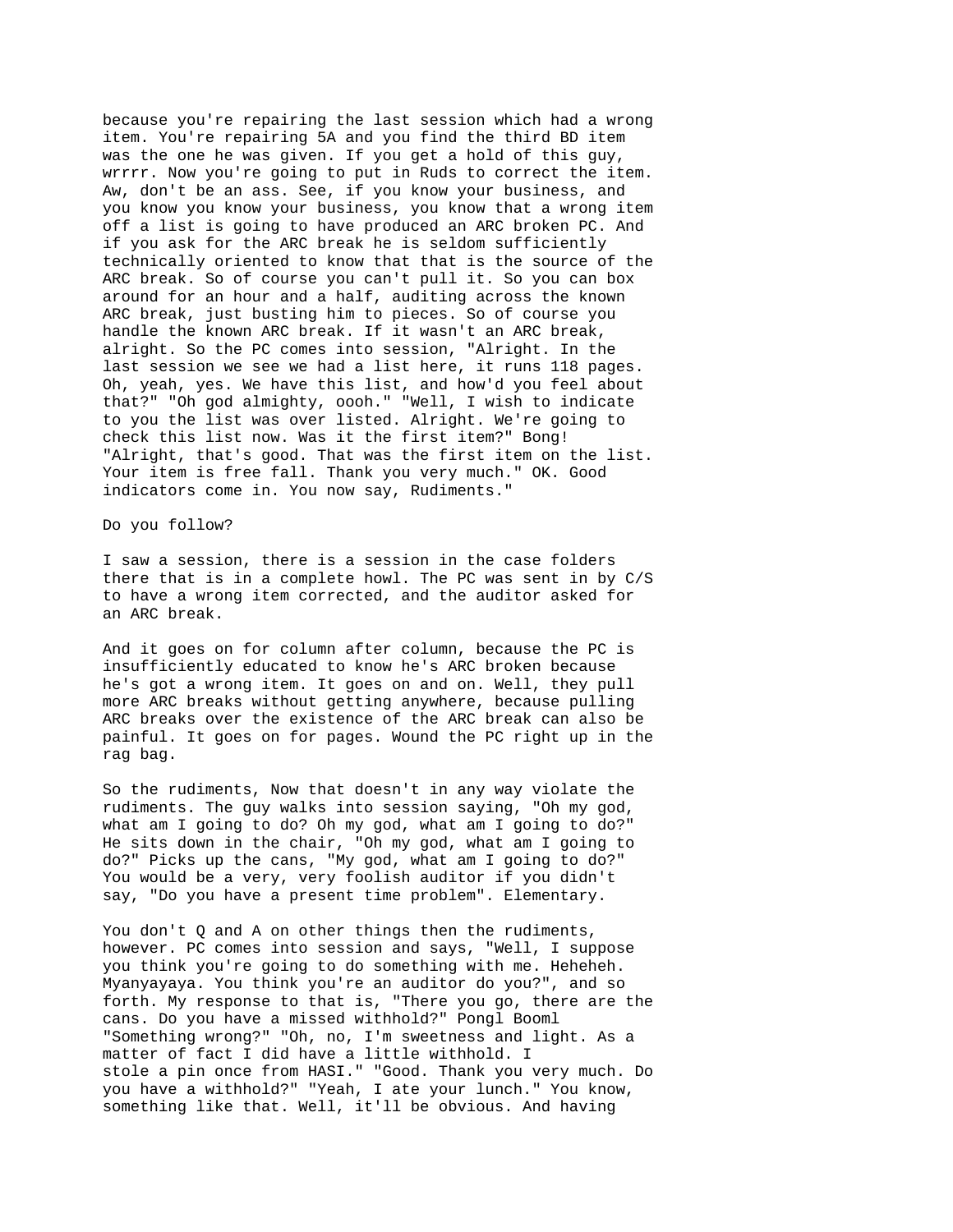because you're repairing the last session which had a wrong item. You're repairing 5A and you find the third BD item was the one he was given. If you get a hold of this guy, wrrrr. Now you're going to put in Ruds to correct the item. Aw, don't be an ass. See, if you know your business, and you know you know your business, you know that a wrong item off a list is going to have produced an ARC broken PC. And if you ask for the ARC break he is seldom sufficiently technically oriented to know that that is the source of the ARC break. So of course you can't pull it. So you can box around for an hour and a half, auditing across the known ARC break, just busting him to pieces. So of course you handle the known ARC break. If it wasn't an ARC break, alright. So the PC comes into session, "Alright. In the last session we see we had a list here, it runs 118 pages. Oh, yeah, yes. We have this list, and how'd you feel about that?" "Oh god almighty, oooh." "Well, I wish to indicate to you the list was over listed. Alright. We're going to check this list now. Was it the first item?" Bong! "Alright, that's good. That was the first item on the list. Your item is free fall. Thank you very much." OK. Good indicators come in. You now say, Rudiments."

Do you follow?

I saw a session, there is a session in the case folders there that is in a complete howl. The PC was sent in by C/S to have a wrong item corrected, and the auditor asked for an ARC break.

And it goes on for column after column, because the PC is insufficiently educated to know he's ARC broken because he's got a wrong item. It goes on and on. Well, they pull more ARC breaks without getting anywhere, because pulling ARC breaks over the existence of the ARC break can also be painful. It goes on for pages. Wound the PC right up in the rag bag.

So the rudiments, Now that doesn't in any way violate the rudiments. The guy walks into session saying, "Oh my god, what am I going to do? Oh my god, what am I going to do?" He sits down in the chair, "Oh my god, what am I going to do?" Picks up the cans, "My god, what am I going to do?" You would be a very, very foolish auditor if you didn't say, "Do you have a present time problem". Elementary.

You don't Q and A on other things then the rudiments, however. PC comes into session and says, "Well, I suppose you think you're going to do something with me. Heheheh. Myanyayaya. You think you're an auditor do you?", and so forth. My response to that is, "There you go, there are the cans. Do you have a missed withhold?" Pongl Booml "Something wrong?" "Oh, no, I'm sweetness and light. As a matter of fact I did have a little withhold. I stole a pin once from HASI." "Good. Thank you very much. Do you have a withhold?" "Yeah, I ate your lunch." You know, something like that. Well, it'll be obvious. And having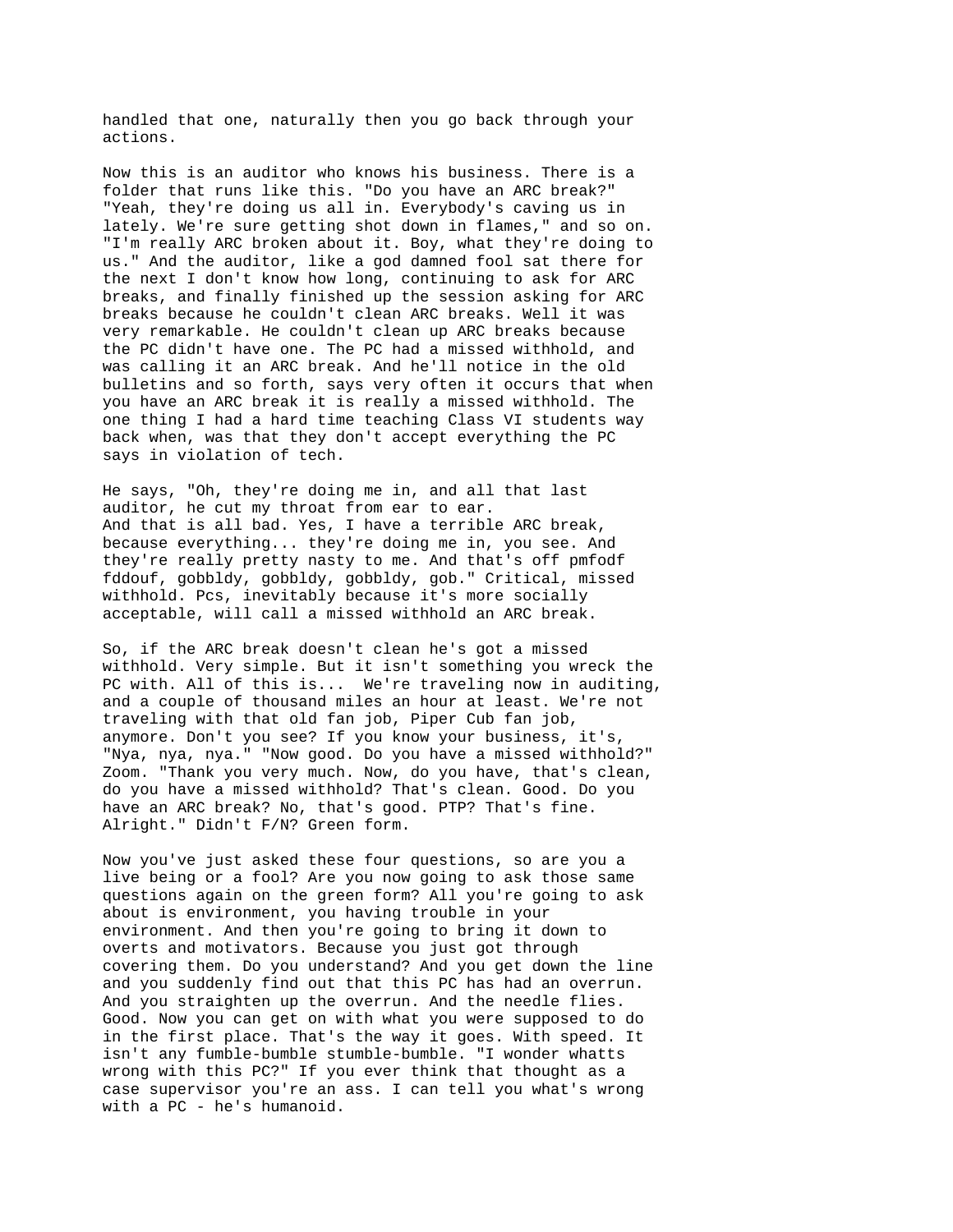handled that one, naturally then you go back through your actions.

Now this is an auditor who knows his business. There is a folder that runs like this. "Do you have an ARC break?" "Yeah, they're doing us all in. Everybody's caving us in lately. We're sure getting shot down in flames," and so on. "I'm really ARC broken about it. Boy, what they're doing to us." And the auditor, like a god damned fool sat there for the next I don't know how long, continuing to ask for ARC breaks, and finally finished up the session asking for ARC breaks because he couldn't clean ARC breaks. Well it was very remarkable. He couldn't clean up ARC breaks because the PC didn't have one. The PC had a missed withhold, and was calling it an ARC break. And he'll notice in the old bulletins and so forth, says very often it occurs that when you have an ARC break it is really a missed withhold. The one thing I had a hard time teaching Class VI students way back when, was that they don't accept everything the PC says in violation of tech.

He says, "Oh, they're doing me in, and all that last auditor, he cut my throat from ear to ear. And that is all bad. Yes, I have a terrible ARC break, because everything... they're doing me in, you see. And they're really pretty nasty to me. And that's off pmfodf fddouf, gobbldy, gobbldy, gobbldy, gob." Critical, missed withhold. Pcs, inevitably because it's more socially acceptable, will call a missed withhold an ARC break.

So, if the ARC break doesn't clean he's got a missed withhold. Very simple. But it isn't something you wreck the PC with. All of this is... We're traveling now in auditing, and a couple of thousand miles an hour at least. We're not traveling with that old fan job, Piper Cub fan job, anymore. Don't you see? If you know your business, it's, "Nya, nya, nya." "Now good. Do you have a missed withhold?" Zoom. "Thank you very much. Now, do you have, that's clean, do you have a missed withhold? That's clean. Good. Do you have an ARC break? No, that's good. PTP? That's fine. Alright." Didn't F/N? Green form.

Now you've just asked these four questions, so are you a live being or a fool? Are you now going to ask those same questions again on the green form? All you're going to ask about is environment, you having trouble in your environment. And then you're going to bring it down to overts and motivators. Because you just got through covering them. Do you understand? And you get down the line and you suddenly find out that this PC has had an overrun. And you straighten up the overrun. And the needle flies. Good. Now you can get on with what you were supposed to do in the first place. That's the way it goes. With speed. It isn't any fumble-bumble stumble-bumble. "I wonder whatts wrong with this PC?" If you ever think that thought as a case supervisor you're an ass. I can tell you what's wrong with a PC - he's humanoid.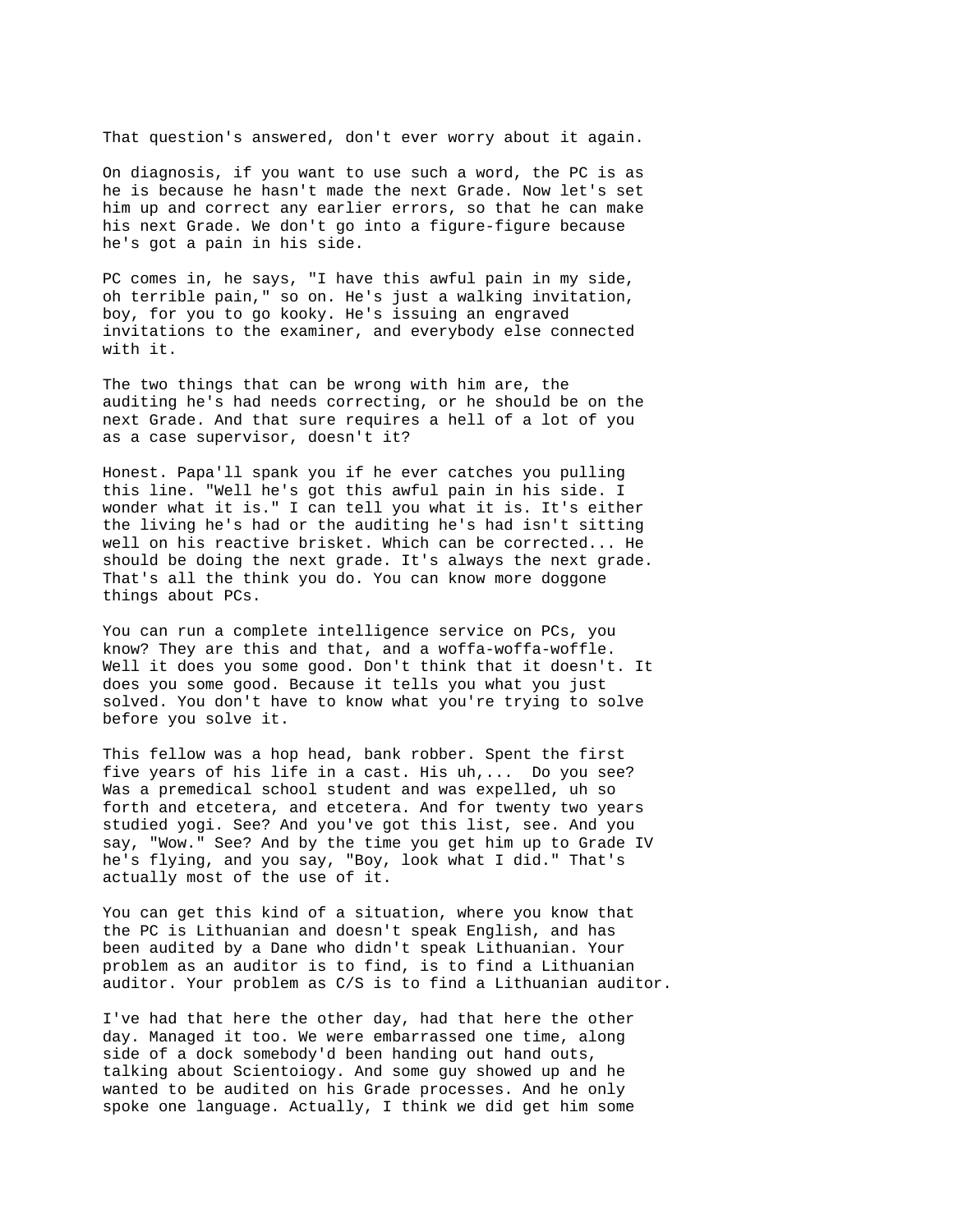That question's answered, don't ever worry about it again.

On diagnosis, if you want to use such a word, the PC is as he is because he hasn't made the next Grade. Now let's set him up and correct any earlier errors, so that he can make his next Grade. We don't go into a figure-figure because he's got a pain in his side.

PC comes in, he says, "I have this awful pain in my side, oh terrible pain," so on. He's just a walking invitation, boy, for you to go kooky. He's issuing an engraved invitations to the examiner, and everybody else connected with it.

The two things that can be wrong with him are, the auditing he's had needs correcting, or he should be on the next Grade. And that sure requires a hell of a lot of you as a case supervisor, doesn't it?

Honest. Papa'll spank you if he ever catches you pulling this line. "Well he's got this awful pain in his side. I wonder what it is." I can tell you what it is. It's either the living he's had or the auditing he's had isn't sitting well on his reactive brisket. Which can be corrected... He should be doing the next grade. It's always the next grade. That's all the think you do. You can know more doggone things about PCs.

You can run a complete intelligence service on PCs, you know? They are this and that, and a woffa-woffa-woffle. Well it does you some good. Don't think that it doesn't. It does you some good. Because it tells you what you just solved. You don't have to know what you're trying to solve before you solve it.

This fellow was a hop head, bank robber. Spent the first five years of his life in a cast. His uh,... Do you see? Was a premedical school student and was expelled, uh so forth and etcetera, and etcetera. And for twenty two years studied yogi. See? And you've got this list, see. And you say, "Wow." See? And by the time you get him up to Grade IV he's flying, and you say, "Boy, look what I did." That's actually most of the use of it.

You can get this kind of a situation, where you know that the PC is Lithuanian and doesn't speak English, and has been audited by a Dane who didn't speak Lithuanian. Your problem as an auditor is to find, is to find a Lithuanian auditor. Your problem as C/S is to find a Lithuanian auditor.

I've had that here the other day, had that here the other day. Managed it too. We were embarrassed one time, along side of a dock somebody'd been handing out hand outs, talking about Scientoiogy. And some guy showed up and he wanted to be audited on his Grade processes. And he only spoke one language. Actually, I think we did get him some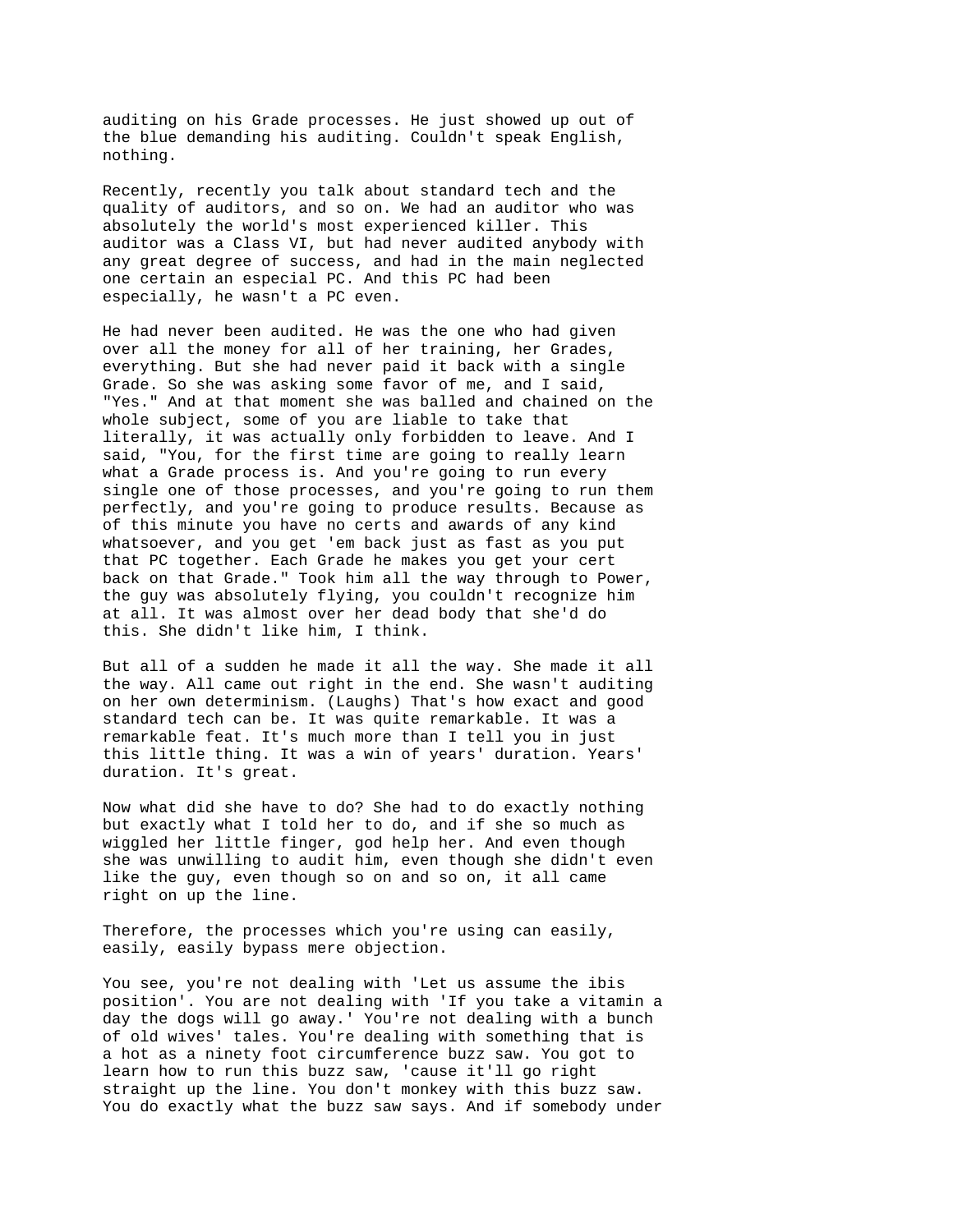auditing on his Grade processes. He just showed up out of the blue demanding his auditing. Couldn't speak English, nothing.

Recently, recently you talk about standard tech and the quality of auditors, and so on. We had an auditor who was absolutely the world's most experienced killer. This auditor was a Class VI, but had never audited anybody with any great degree of success, and had in the main neglected one certain an especial PC. And this PC had been especially, he wasn't a PC even.

He had never been audited. He was the one who had given over all the money for all of her training, her Grades, everything. But she had never paid it back with a single Grade. So she was asking some favor of me, and I said, "Yes." And at that moment she was balled and chained on the whole subject, some of you are liable to take that literally, it was actually only forbidden to leave. And I said, "You, for the first time are going to really learn what a Grade process is. And you're going to run every single one of those processes, and you're going to run them perfectly, and you're going to produce results. Because as of this minute you have no certs and awards of any kind whatsoever, and you get 'em back just as fast as you put that PC together. Each Grade he makes you get your cert back on that Grade." Took him all the way through to Power, the guy was absolutely flying, you couldn't recognize him at all. It was almost over her dead body that she'd do this. She didn't like him, I think.

But all of a sudden he made it all the way. She made it all the way. All came out right in the end. She wasn't auditing on her own determinism. (Laughs) That's how exact and good standard tech can be. It was quite remarkable. It was a remarkable feat. It's much more than I tell you in just this little thing. It was a win of years' duration. Years' duration. It's great.

Now what did she have to do? She had to do exactly nothing but exactly what I told her to do, and if she so much as wiggled her little finger, god help her. And even though she was unwilling to audit him, even though she didn't even like the guy, even though so on and so on, it all came right on up the line.

Therefore, the processes which you're using can easily, easily, easily bypass mere objection.

You see, you're not dealing with 'Let us assume the ibis position'. You are not dealing with 'If you take a vitamin a day the dogs will go away.' You're not dealing with a bunch of old wives' tales. You're dealing with something that is a hot as a ninety foot circumference buzz saw. You got to learn how to run this buzz saw, 'cause it'll go right straight up the line. You don't monkey with this buzz saw. You do exactly what the buzz saw says. And if somebody under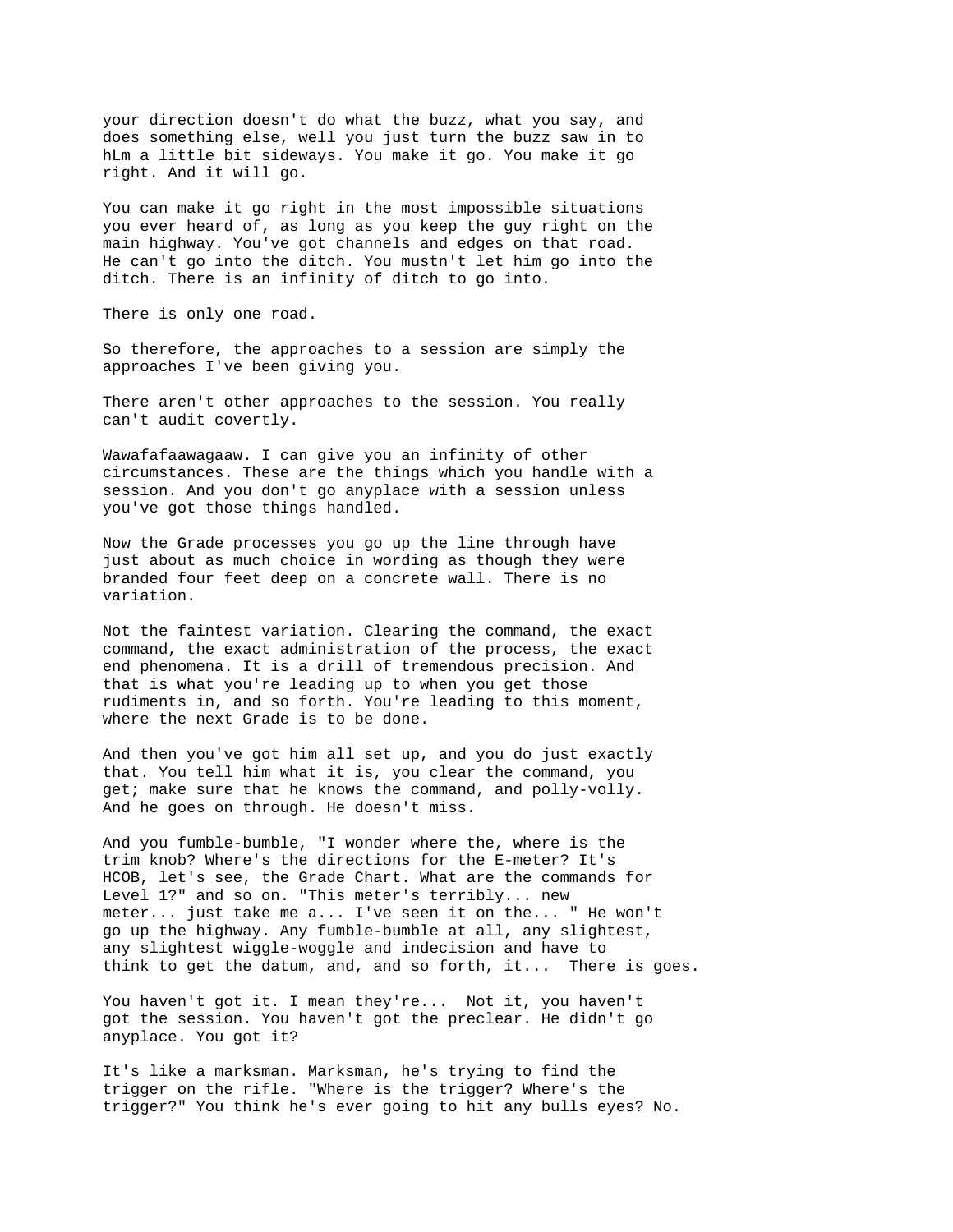your direction doesn't do what the buzz, what you say, and does something else, well you just turn the buzz saw in to hLm a little bit sideways. You make it go. You make it go right. And it will go.

You can make it go right in the most impossible situations you ever heard of, as long as you keep the guy right on the main highway. You've got channels and edges on that road. He can't go into the ditch. You mustn't let him go into the ditch. There is an infinity of ditch to go into.

There is only one road.

So therefore, the approaches to a session are simply the approaches I've been giving you.

There aren't other approaches to the session. You really can't audit covertly.

Wawafafaawagaaw. I can give you an infinity of other circumstances. These are the things which you handle with a session. And you don't go anyplace with a session unless you've got those things handled.

Now the Grade processes you go up the line through have just about as much choice in wording as though they were branded four feet deep on a concrete wall. There is no variation.

Not the faintest variation. Clearing the command, the exact command, the exact administration of the process, the exact end phenomena. It is a drill of tremendous precision. And that is what you're leading up to when you get those rudiments in, and so forth. You're leading to this moment, where the next Grade is to be done.

And then you've got him all set up, and you do just exactly that. You tell him what it is, you clear the command, you get; make sure that he knows the command, and polly-volly. And he goes on through. He doesn't miss.

And you fumble-bumble, "I wonder where the, where is the trim knob? Where's the directions for the E-meter? It's HCOB, let's see, the Grade Chart. What are the commands for Level 1?" and so on. "This meter's terribly... new meter... just take me a... I've seen it on the... " He won't go up the highway. Any fumble-bumble at all, any slightest, any slightest wiggle-woggle and indecision and have to think to get the datum, and, and so forth, it... There is goes.

You haven't got it. I mean they're... Not it, you haven't got the session. You haven't got the preclear. He didn't go anyplace. You got it?

It's like a marksman. Marksman, he's trying to find the trigger on the rifle. "Where is the trigger? Where's the trigger?" You think he's ever going to hit any bulls eyes? No.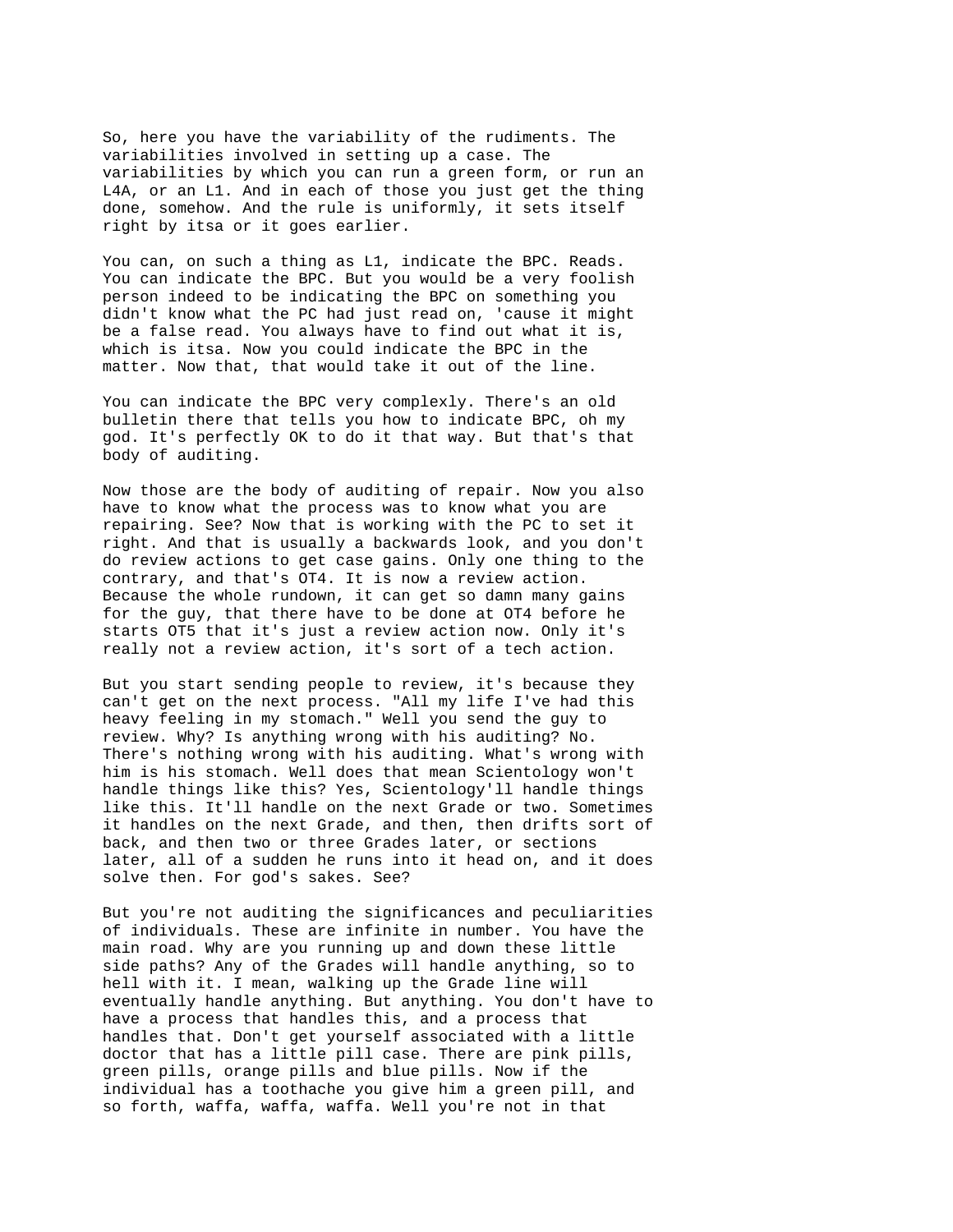So, here you have the variability of the rudiments. The variabilities involved in setting up a case. The variabilities by which you can run a green form, or run an L4A, or an L1. And in each of those you just get the thing done, somehow. And the rule is uniformly, it sets itself right by itsa or it goes earlier.

You can, on such a thing as L1, indicate the BPC. Reads. You can indicate the BPC. But you would be a very foolish person indeed to be indicating the BPC on something you didn't know what the PC had just read on, 'cause it might be a false read. You always have to find out what it is, which is itsa. Now you could indicate the BPC in the matter. Now that, that would take it out of the line.

You can indicate the BPC very complexly. There's an old bulletin there that tells you how to indicate BPC, oh my god. It's perfectly OK to do it that way. But that's that body of auditing.

Now those are the body of auditing of repair. Now you also have to know what the process was to know what you are repairing. See? Now that is working with the PC to set it right. And that is usually a backwards look, and you don't do review actions to get case gains. Only one thing to the contrary, and that's OT4. It is now a review action. Because the whole rundown, it can get so damn many gains for the guy, that there have to be done at OT4 before he starts OT5 that it's just a review action now. Only it's really not a review action, it's sort of a tech action.

But you start sending people to review, it's because they can't get on the next process. "All my life I've had this heavy feeling in my stomach." Well you send the guy to review. Why? Is anything wrong with his auditing? No. There's nothing wrong with his auditing. What's wrong with him is his stomach. Well does that mean Scientology won't handle things like this? Yes, Scientology'll handle things like this. It'll handle on the next Grade or two. Sometimes it handles on the next Grade, and then, then drifts sort of back, and then two or three Grades later, or sections later, all of a sudden he runs into it head on, and it does solve then. For god's sakes. See?

But you're not auditing the significances and peculiarities of individuals. These are infinite in number. You have the main road. Why are you running up and down these little side paths? Any of the Grades will handle anything, so to hell with it. I mean, walking up the Grade line will eventually handle anything. But anything. You don't have to have a process that handles this, and a process that handles that. Don't get yourself associated with a little doctor that has a little pill case. There are pink pills, green pills, orange pills and blue pills. Now if the individual has a toothache you give him a green pill, and so forth, waffa, waffa, waffa. Well you're not in that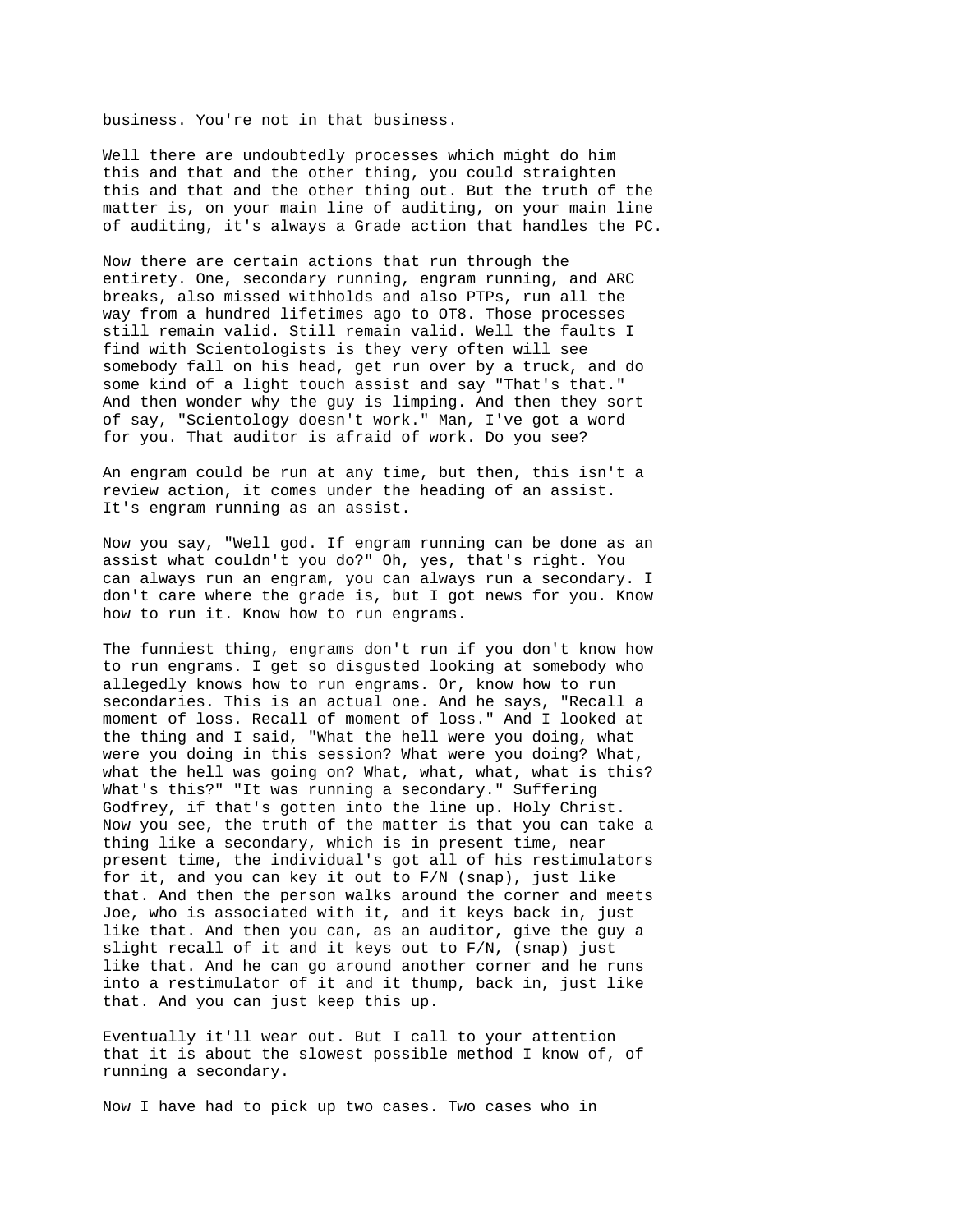business. You're not in that business.

Well there are undoubtedly processes which might do him this and that and the other thing, you could straighten this and that and the other thing out. But the truth of the matter is, on your main line of auditing, on your main line of auditing, it's always a Grade action that handles the PC.

Now there are certain actions that run through the entirety. One, secondary running, engram running, and ARC breaks, also missed withholds and also PTPs, run all the way from a hundred lifetimes ago to OT8. Those processes still remain valid. Still remain valid. Well the faults I find with Scientologists is they very often will see somebody fall on his head, get run over by a truck, and do some kind of a light touch assist and say "That's that." And then wonder why the guy is limping. And then they sort of say, "Scientology doesn't work." Man, I've got a word for you. That auditor is afraid of work. Do you see?

An engram could be run at any time, but then, this isn't a review action, it comes under the heading of an assist. It's engram running as an assist.

Now you say, "Well god. If engram running can be done as an assist what couldn't you do?" Oh, yes, that's right. You can always run an engram, you can always run a secondary. I don't care where the grade is, but I got news for you. Know how to run it. Know how to run engrams.

The funniest thing, engrams don't run if you don't know how to run engrams. I get so disgusted looking at somebody who allegedly knows how to run engrams. Or, know how to run secondaries. This is an actual one. And he says, "Recall a moment of loss. Recall of moment of loss." And I looked at the thing and I said, "What the hell were you doing, what were you doing in this session? What were you doing? What, what the hell was going on? What, what, what, what is this? What's this?" "It was running a secondary." Suffering Godfrey, if that's gotten into the line up. Holy Christ. Now you see, the truth of the matter is that you can take a thing like a secondary, which is in present time, near present time, the individual's got all of his restimulators for it, and you can key it out to F/N (snap), just like that. And then the person walks around the corner and meets Joe, who is associated with it, and it keys back in, just like that. And then you can, as an auditor, give the guy a slight recall of it and it keys out to F/N, (snap) just like that. And he can go around another corner and he runs into a restimulator of it and it thump, back in, just like that. And you can just keep this up.

Eventually it'll wear out. But I call to your attention that it is about the slowest possible method I know of, of running a secondary.

Now I have had to pick up two cases. Two cases who in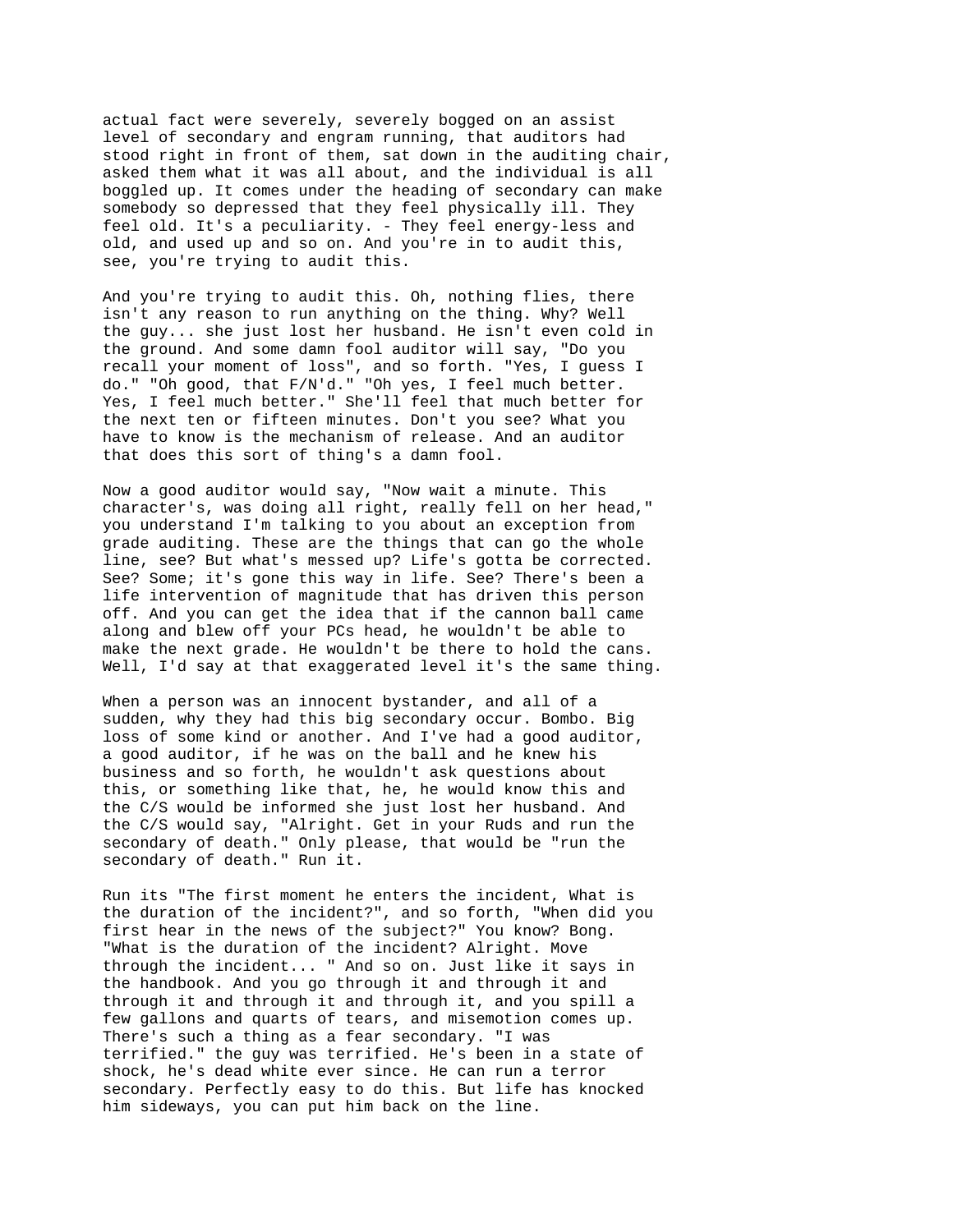actual fact were severely, severely bogged on an assist level of secondary and engram running, that auditors had stood right in front of them, sat down in the auditing chair, asked them what it was all about, and the individual is all boggled up. It comes under the heading of secondary can make somebody so depressed that they feel physically ill. They feel old. It's a peculiarity. - They feel energy-less and old, and used up and so on. And you're in to audit this, see, you're trying to audit this.

And you're trying to audit this. Oh, nothing flies, there isn't any reason to run anything on the thing. Why? Well the guy... she just lost her husband. He isn't even cold in the ground. And some damn fool auditor will say, "Do you recall your moment of loss", and so forth. "Yes, I guess I do." "Oh good, that F/N'd." "Oh yes, I feel much better. Yes, I feel much better." She'll feel that much better for the next ten or fifteen minutes. Don't you see? What you have to know is the mechanism of release. And an auditor that does this sort of thing's a damn fool.

Now a good auditor would say, "Now wait a minute. This character's, was doing all right, really fell on her head," you understand I'm talking to you about an exception from grade auditing. These are the things that can go the whole line, see? But what's messed up? Life's gotta be corrected. See? Some; it's gone this way in life. See? There's been a life intervention of magnitude that has driven this person off. And you can get the idea that if the cannon ball came along and blew off your PCs head, he wouldn't be able to make the next grade. He wouldn't be there to hold the cans. Well, I'd say at that exaggerated level it's the same thing.

When a person was an innocent bystander, and all of a sudden, why they had this big secondary occur. Bombo. Big loss of some kind or another. And I've had a good auditor, a good auditor, if he was on the ball and he knew his business and so forth, he wouldn't ask questions about this, or something like that, he, he would know this and the C/S would be informed she just lost her husband. And the C/S would say, "Alright. Get in your Ruds and run the secondary of death." Only please, that would be "run the secondary of death." Run it.

Run its "The first moment he enters the incident, What is the duration of the incident?", and so forth, "When did you first hear in the news of the subject?" You know? Bong. "What is the duration of the incident? Alright. Move through the incident... " And so on. Just like it says in the handbook. And you go through it and through it and through it and through it and through it, and you spill a few gallons and quarts of tears, and misemotion comes up. There's such a thing as a fear secondary. "I was terrified." the guy was terrified. He's been in a state of shock, he's dead white ever since. He can run a terror secondary. Perfectly easy to do this. But life has knocked him sideways, you can put him back on the line.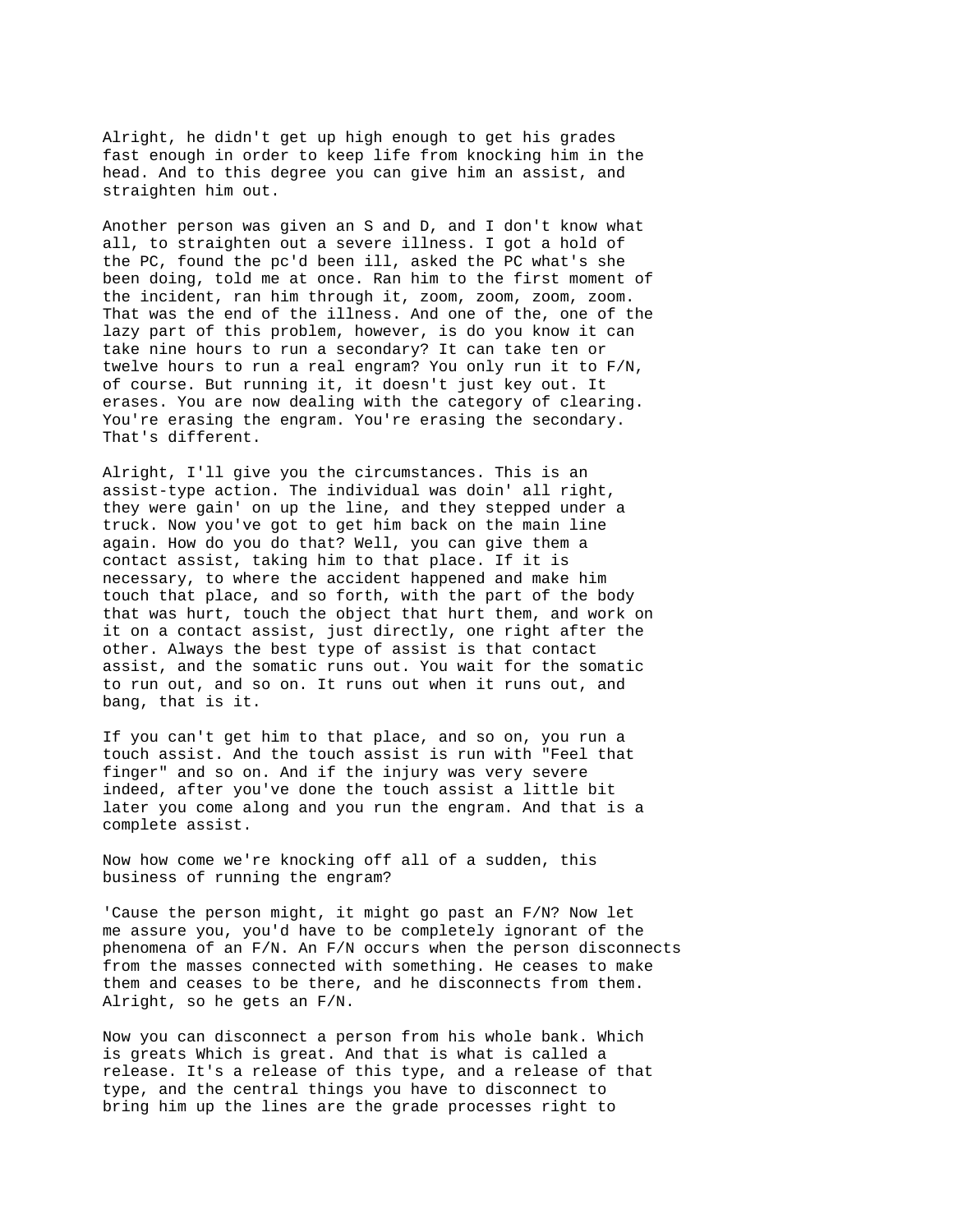Alright, he didn't get up high enough to get his grades fast enough in order to keep life from knocking him in the head. And to this degree you can give him an assist, and straighten him out.

Another person was given an S and D, and I don't know what all, to straighten out a severe illness. I got a hold of the PC, found the pc'd been ill, asked the PC what's she been doing, told me at once. Ran him to the first moment of the incident, ran him through it, zoom, zoom, zoom, zoom. That was the end of the illness. And one of the, one of the lazy part of this problem, however, is do you know it can take nine hours to run a secondary? It can take ten or twelve hours to run a real engram? You only run it to F/N, of course. But running it, it doesn't just key out. It erases. You are now dealing with the category of clearing. You're erasing the engram. You're erasing the secondary. That's different.

Alright, I'll give you the circumstances. This is an assist-type action. The individual was doin' all right, they were gain' on up the line, and they stepped under a truck. Now you've got to get him back on the main line again. How do you do that? Well, you can give them a contact assist, taking him to that place. If it is necessary, to where the accident happened and make him touch that place, and so forth, with the part of the body that was hurt, touch the object that hurt them, and work on it on a contact assist, just directly, one right after the other. Always the best type of assist is that contact assist, and the somatic runs out. You wait for the somatic to run out, and so on. It runs out when it runs out, and bang, that is it.

If you can't get him to that place, and so on, you run a touch assist. And the touch assist is run with "Feel that finger" and so on. And if the injury was very severe indeed, after you've done the touch assist a little bit later you come along and you run the engram. And that is a complete assist.

Now how come we're knocking off all of a sudden, this business of running the engram?

'Cause the person might, it might go past an F/N? Now let me assure you, you'd have to be completely ignorant of the phenomena of an  $F/N$ . An  $F/N$  occurs when the person disconnects from the masses connected with something. He ceases to make them and ceases to be there, and he disconnects from them. Alright, so he gets an F/N.

Now you can disconnect a person from his whole bank. Which is greats Which is great. And that is what is called a release. It's a release of this type, and a release of that type, and the central things you have to disconnect to bring him up the lines are the grade processes right to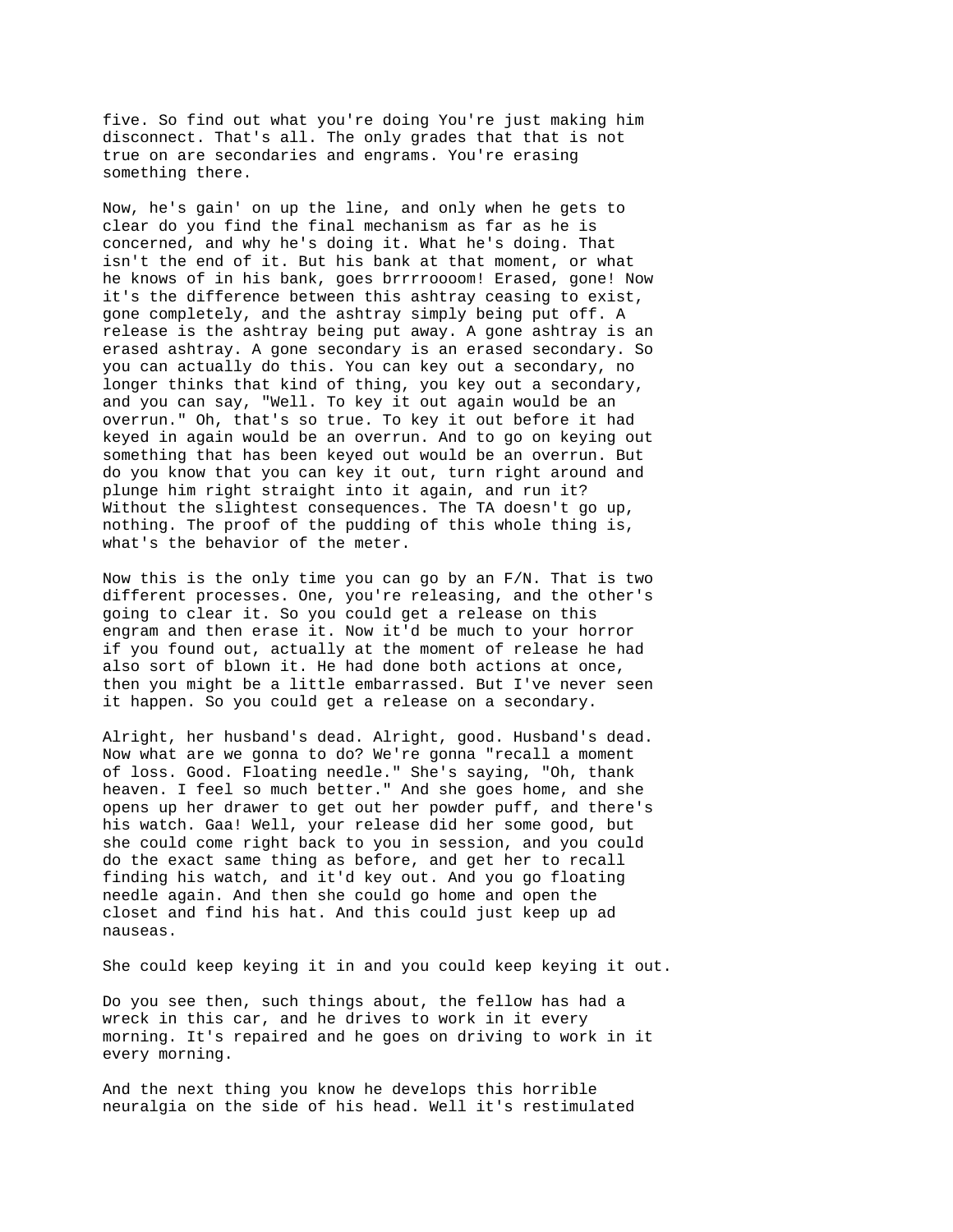five. So find out what you're doing You're just making him disconnect. That's all. The only grades that that is not true on are secondaries and engrams. You're erasing something there.

Now, he's gain' on up the line, and only when he gets to clear do you find the final mechanism as far as he is concerned, and why he's doing it. What he's doing. That isn't the end of it. But his bank at that moment, or what he knows of in his bank, goes brrrroooom! Erased, gone! Now it's the difference between this ashtray ceasing to exist, gone completely, and the ashtray simply being put off. A release is the ashtray being put away. A gone ashtray is an erased ashtray. A gone secondary is an erased secondary. So you can actually do this. You can key out a secondary, no longer thinks that kind of thing, you key out a secondary, and you can say, "Well. To key it out again would be an overrun." Oh, that's so true. To key it out before it had keyed in again would be an overrun. And to go on keying out something that has been keyed out would be an overrun. But do you know that you can key it out, turn right around and plunge him right straight into it again, and run it? Without the slightest consequences. The TA doesn't go up, nothing. The proof of the pudding of this whole thing is, what's the behavior of the meter.

Now this is the only time you can go by an F/N. That is two different processes. One, you're releasing, and the other's going to clear it. So you could get a release on this engram and then erase it. Now it'd be much to your horror if you found out, actually at the moment of release he had also sort of blown it. He had done both actions at once, then you might be a little embarrassed. But I've never seen it happen. So you could get a release on a secondary.

Alright, her husband's dead. Alright, good. Husband's dead. Now what are we gonna to do? We're gonna "recall a moment of loss. Good. Floating needle." She's saying, "Oh, thank heaven. I feel so much better." And she goes home, and she opens up her drawer to get out her powder puff, and there's his watch. Gaa! Well, your release did her some good, but she could come right back to you in session, and you could do the exact same thing as before, and get her to recall finding his watch, and it'd key out. And you go floating needle again. And then she could go home and open the closet and find his hat. And this could just keep up ad nauseas.

She could keep keying it in and you could keep keying it out.

Do you see then, such things about, the fellow has had a wreck in this car, and he drives to work in it every morning. It's repaired and he goes on driving to work in it every morning.

And the next thing you know he develops this horrible neuralgia on the side of his head. Well it's restimulated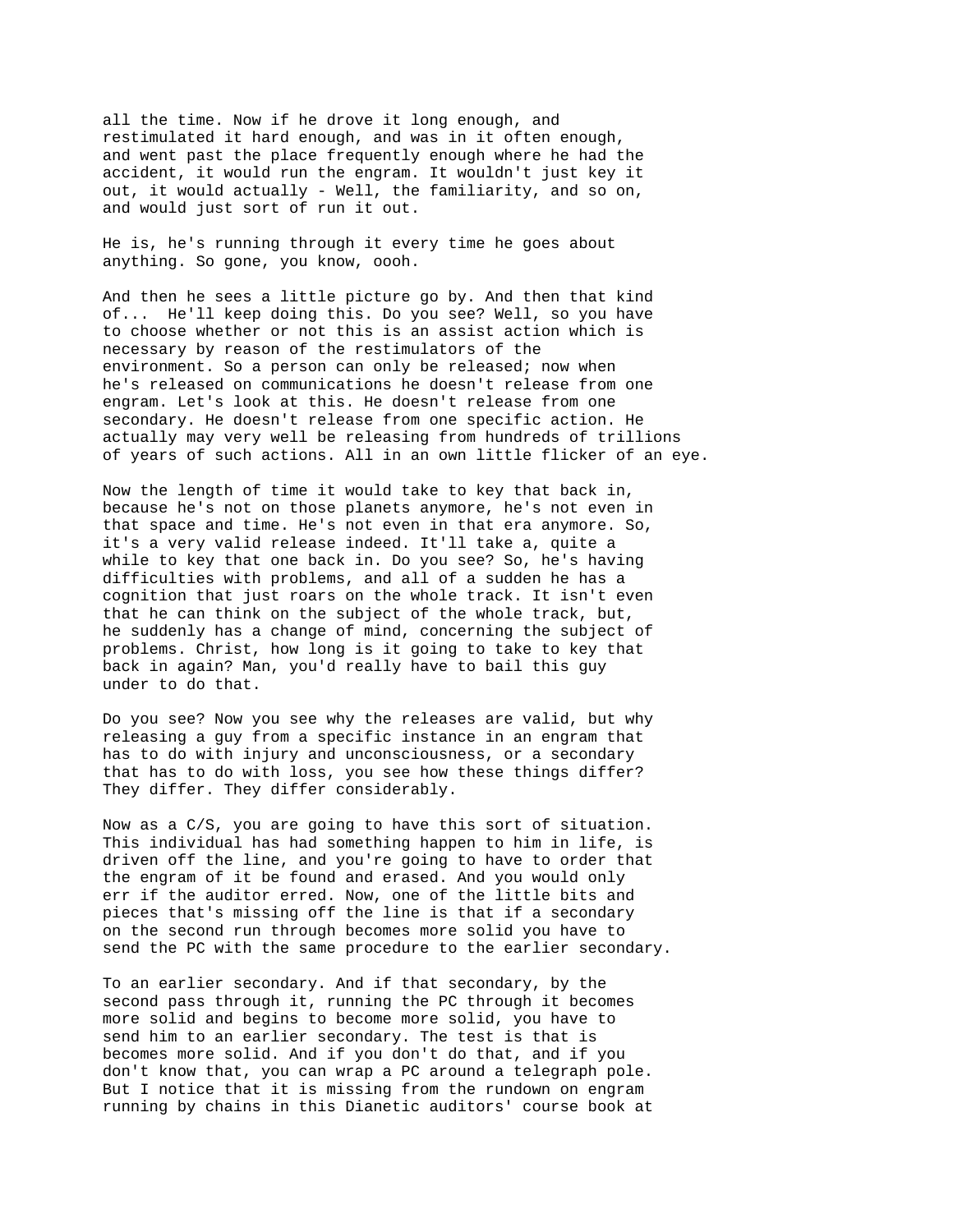all the time. Now if he drove it long enough, and restimulated it hard enough, and was in it often enough, and went past the place frequently enough where he had the accident, it would run the engram. It wouldn't just key it out, it would actually - Well, the familiarity, and so on, and would just sort of run it out.

He is, he's running through it every time he goes about anything. So gone, you know, oooh.

And then he sees a little picture go by. And then that kind of... He'll keep doing this. Do you see? Well, so you have to choose whether or not this is an assist action which is necessary by reason of the restimulators of the environment. So a person can only be released; now when he's released on communications he doesn't release from one engram. Let's look at this. He doesn't release from one secondary. He doesn't release from one specific action. He actually may very well be releasing from hundreds of trillions of years of such actions. All in an own little flicker of an eye.

Now the length of time it would take to key that back in, because he's not on those planets anymore, he's not even in that space and time. He's not even in that era anymore. So, it's a very valid release indeed. It'll take a, quite a while to key that one back in. Do you see? So, he's having difficulties with problems, and all of a sudden he has a cognition that just roars on the whole track. It isn't even that he can think on the subject of the whole track, but, he suddenly has a change of mind, concerning the subject of problems. Christ, how long is it going to take to key that back in again? Man, you'd really have to bail this guy under to do that.

Do you see? Now you see why the releases are valid, but why releasing a guy from a specific instance in an engram that has to do with injury and unconsciousness, or a secondary that has to do with loss, you see how these things differ? They differ. They differ considerably.

Now as a C/S, you are going to have this sort of situation. This individual has had something happen to him in life, is driven off the line, and you're going to have to order that the engram of it be found and erased. And you would only err if the auditor erred. Now, one of the little bits and pieces that's missing off the line is that if a secondary on the second run through becomes more solid you have to send the PC with the same procedure to the earlier secondary.

To an earlier secondary. And if that secondary, by the second pass through it, running the PC through it becomes more solid and begins to become more solid, you have to send him to an earlier secondary. The test is that is becomes more solid. And if you don't do that, and if you don't know that, you can wrap a PC around a telegraph pole. But I notice that it is missing from the rundown on engram running by chains in this Dianetic auditors' course book at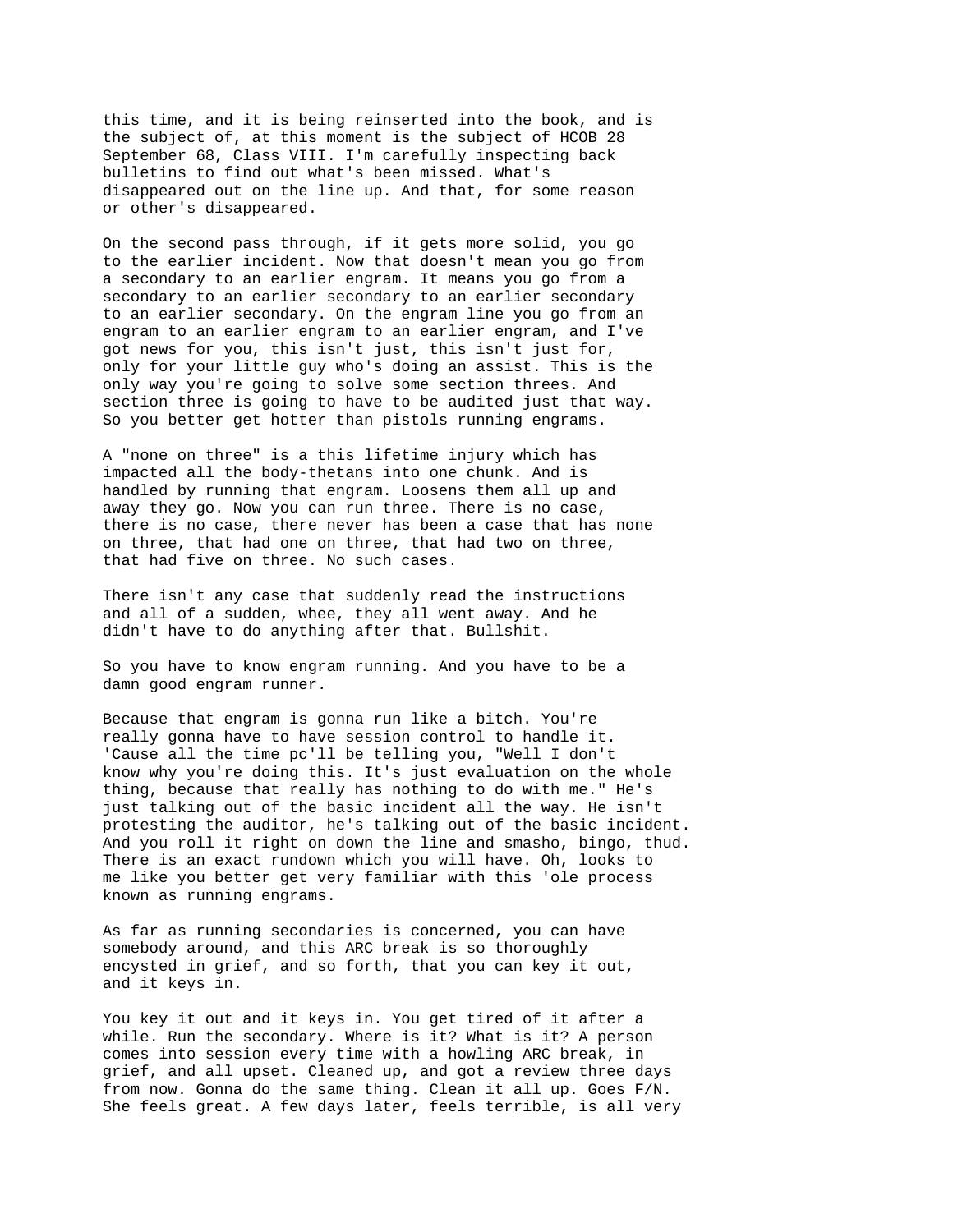this time, and it is being reinserted into the book, and is the subject of, at this moment is the subject of HCOB 28 September 68, Class VIII. I'm carefully inspecting back bulletins to find out what's been missed. What's disappeared out on the line up. And that, for some reason or other's disappeared.

On the second pass through, if it gets more solid, you go to the earlier incident. Now that doesn't mean you go from a secondary to an earlier engram. It means you go from a secondary to an earlier secondary to an earlier secondary to an earlier secondary. On the engram line you go from an engram to an earlier engram to an earlier engram, and I've got news for you, this isn't just, this isn't just for, only for your little guy who's doing an assist. This is the only way you're going to solve some section threes. And section three is going to have to be audited just that way. So you better get hotter than pistols running engrams.

A "none on three" is a this lifetime injury which has impacted all the body-thetans into one chunk. And is handled by running that engram. Loosens them all up and away they go. Now you can run three. There is no case, there is no case, there never has been a case that has none on three, that had one on three, that had two on three, that had five on three. No such cases.

There isn't any case that suddenly read the instructions and all of a sudden, whee, they all went away. And he didn't have to do anything after that. Bullshit.

So you have to know engram running. And you have to be a damn good engram runner.

Because that engram is gonna run like a bitch. You're really gonna have to have session control to handle it. 'Cause all the time pc'll be telling you, "Well I don't know why you're doing this. It's just evaluation on the whole thing, because that really has nothing to do with me." He's just talking out of the basic incident all the way. He isn't protesting the auditor, he's talking out of the basic incident. And you roll it right on down the line and smasho, bingo, thud. There is an exact rundown which you will have. Oh, looks to me like you better get very familiar with this 'ole process known as running engrams.

As far as running secondaries is concerned, you can have somebody around, and this ARC break is so thoroughly encysted in grief, and so forth, that you can key it out, and it keys in.

You key it out and it keys in. You get tired of it after a while. Run the secondary. Where is it? What is it? A person comes into session every time with a howling ARC break, in grief, and all upset. Cleaned up, and got a review three days from now. Gonna do the same thing. Clean it all up. Goes F/N. She feels great. A few days later, feels terrible, is all very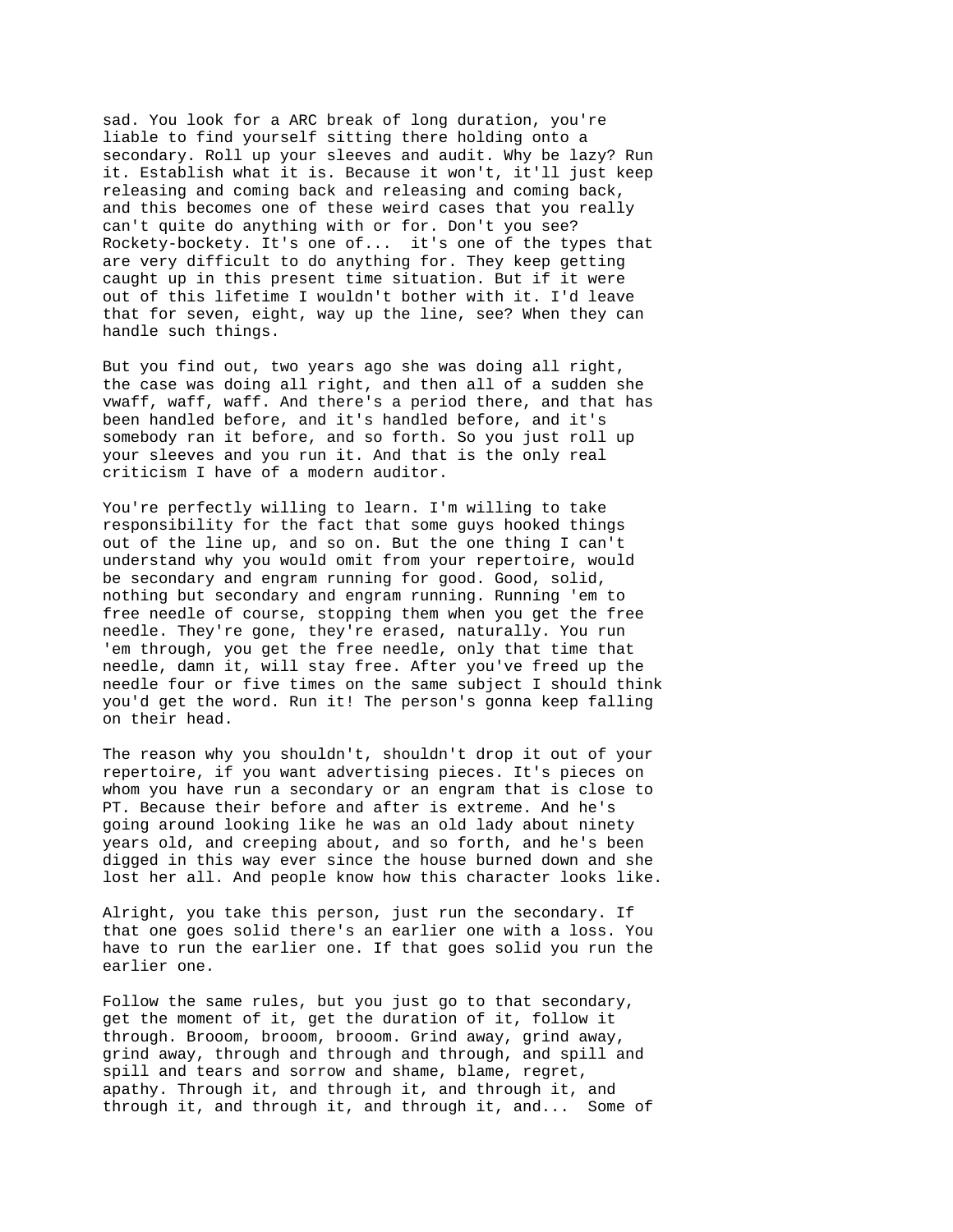sad. You look for a ARC break of long duration, you're liable to find yourself sitting there holding onto a secondary. Roll up your sleeves and audit. Why be lazy? Run it. Establish what it is. Because it won't, it'll just keep releasing and coming back and releasing and coming back, and this becomes one of these weird cases that you really can't quite do anything with or for. Don't you see? Rockety-bockety. It's one of... it's one of the types that are very difficult to do anything for. They keep getting caught up in this present time situation. But if it were out of this lifetime I wouldn't bother with it. I'd leave that for seven, eight, way up the line, see? When they can handle such things.

But you find out, two years ago she was doing all right, the case was doing all right, and then all of a sudden she vwaff, waff, waff. And there's a period there, and that has been handled before, and it's handled before, and it's somebody ran it before, and so forth. So you just roll up your sleeves and you run it. And that is the only real criticism I have of a modern auditor.

You're perfectly willing to learn. I'm willing to take responsibility for the fact that some guys hooked things out of the line up, and so on. But the one thing I can't understand why you would omit from your repertoire, would be secondary and engram running for good. Good, solid, nothing but secondary and engram running. Running 'em to free needle of course, stopping them when you get the free needle. They're gone, they're erased, naturally. You run 'em through, you get the free needle, only that time that needle, damn it, will stay free. After you've freed up the needle four or five times on the same subject I should think you'd get the word. Run it! The person's gonna keep falling on their head.

The reason why you shouldn't, shouldn't drop it out of your repertoire, if you want advertising pieces. It's pieces on whom you have run a secondary or an engram that is close to PT. Because their before and after is extreme. And he's going around looking like he was an old lady about ninety years old, and creeping about, and so forth, and he's been digged in this way ever since the house burned down and she lost her all. And people know how this character looks like.

Alright, you take this person, just run the secondary. If that one goes solid there's an earlier one with a loss. You have to run the earlier one. If that goes solid you run the earlier one.

Follow the same rules, but you just go to that secondary, get the moment of it, get the duration of it, follow it through. Brooom, brooom, brooom. Grind away, grind away, grind away, through and through and through, and spill and spill and tears and sorrow and shame, blame, regret, apathy. Through it, and through it, and through it, and through it, and through it, and through it, and... Some of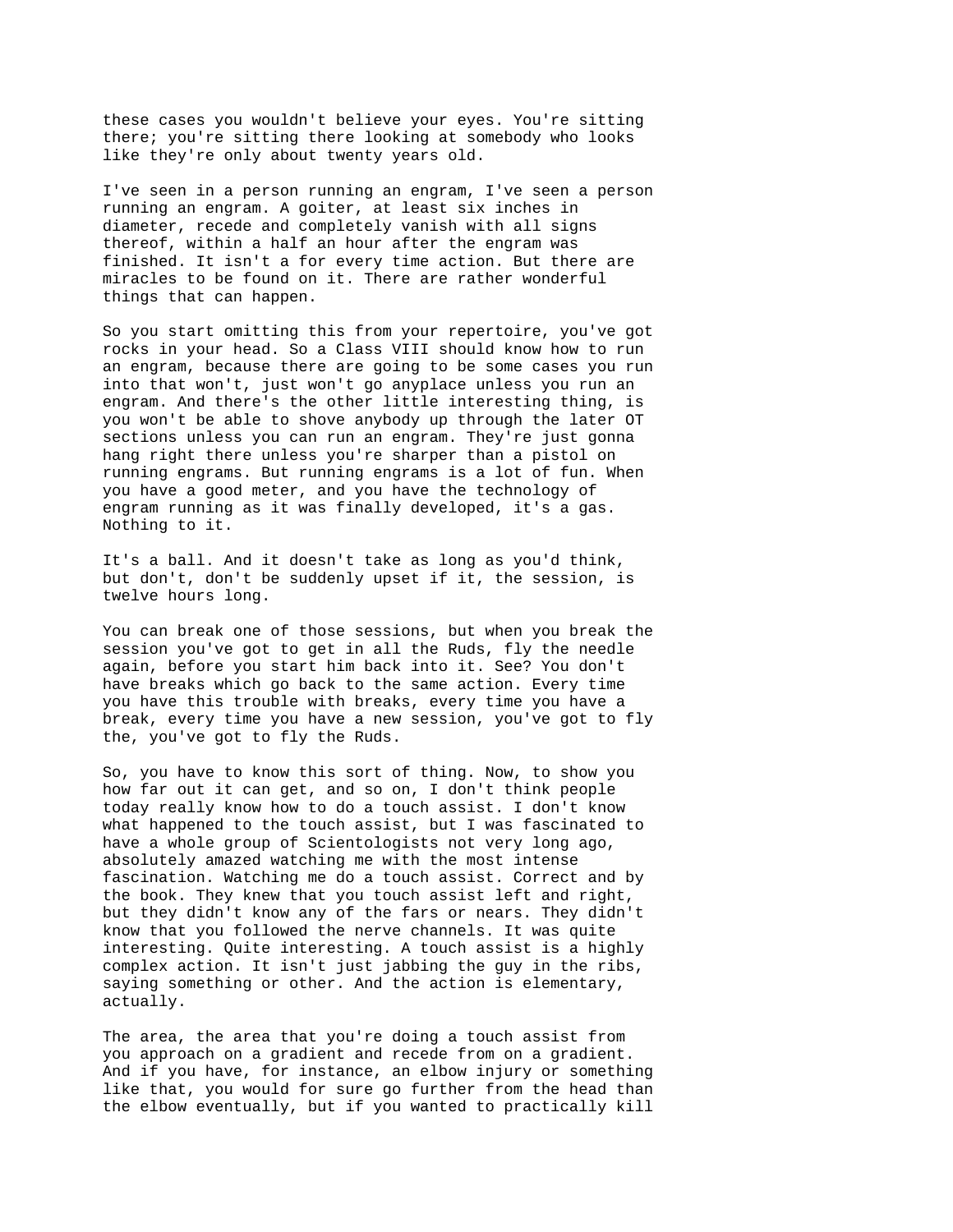these cases you wouldn't believe your eyes. You're sitting there; you're sitting there looking at somebody who looks like they're only about twenty years old.

I've seen in a person running an engram, I've seen a person running an engram. A goiter, at least six inches in diameter, recede and completely vanish with all signs thereof, within a half an hour after the engram was finished. It isn't a for every time action. But there are miracles to be found on it. There are rather wonderful things that can happen.

So you start omitting this from your repertoire, you've got rocks in your head. So a Class VIII should know how to run an engram, because there are going to be some cases you run into that won't, just won't go anyplace unless you run an engram. And there's the other little interesting thing, is you won't be able to shove anybody up through the later OT sections unless you can run an engram. They're just gonna hang right there unless you're sharper than a pistol on running engrams. But running engrams is a lot of fun. When you have a good meter, and you have the technology of engram running as it was finally developed, it's a gas. Nothing to it.

It's a ball. And it doesn't take as long as you'd think, but don't, don't be suddenly upset if it, the session, is twelve hours long.

You can break one of those sessions, but when you break the session you've got to get in all the Ruds, fly the needle again, before you start him back into it. See? You don't have breaks which go back to the same action. Every time you have this trouble with breaks, every time you have a break, every time you have a new session, you've got to fly the, you've got to fly the Ruds.

So, you have to know this sort of thing. Now, to show you how far out it can get, and so on, I don't think people today really know how to do a touch assist. I don't know what happened to the touch assist, but I was fascinated to have a whole group of Scientologists not very long ago, absolutely amazed watching me with the most intense fascination. Watching me do a touch assist. Correct and by the book. They knew that you touch assist left and right, but they didn't know any of the fars or nears. They didn't know that you followed the nerve channels. It was quite interesting. Quite interesting. A touch assist is a highly complex action. It isn't just jabbing the guy in the ribs, saying something or other. And the action is elementary, actually.

The area, the area that you're doing a touch assist from you approach on a gradient and recede from on a gradient. And if you have, for instance, an elbow injury or something like that, you would for sure go further from the head than the elbow eventually, but if you wanted to practically kill